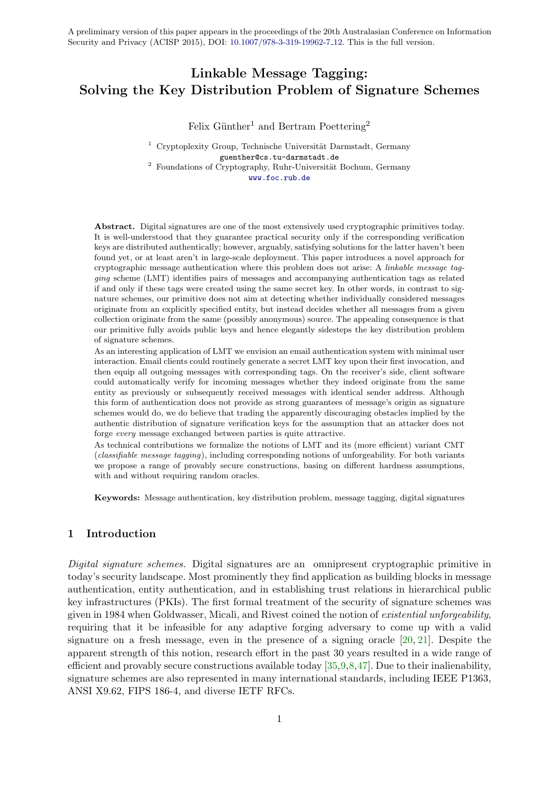<span id="page-0-0"></span>A preliminary version of this paper appears in the proceedings of the 20th Australasian Conference on Information Security and Privacy (ACISP 2015), DOI: [10.1007/978-3-319-19962-7](http://dx.doi.org/10.1007/978-3-319-19962-7_12) 12. This is the full version.

# Linkable Message Tagging: Solving the Key Distribution Problem of Signature Schemes

Felix Günther<sup>1</sup> and Bertram Poettering<sup>2</sup>

 $1$  Cryptoplexity Group, Technische Universität Darmstadt, Germany guenther@cs.tu-darmstadt.de  $^{\rm 2}$  Foundations of Cryptography, Ruhr-Universität Bochum, Germany

<www.foc.rub.de>

Abstract. Digital signatures are one of the most extensively used cryptographic primitives today. It is well-understood that they guarantee practical security only if the corresponding verification keys are distributed authentically; however, arguably, satisfying solutions for the latter haven't been found yet, or at least aren't in large-scale deployment. This paper introduces a novel approach for cryptographic message authentication where this problem does not arise: A linkable message tagging scheme (LMT) identifies pairs of messages and accompanying authentication tags as related if and only if these tags were created using the same secret key. In other words, in contrast to signature schemes, our primitive does not aim at detecting whether individually considered messages originate from an explicitly specified entity, but instead decides whether all messages from a given collection originate from the same (possibly anonymous) source. The appealing consequence is that our primitive fully avoids public keys and hence elegantly sidesteps the key distribution problem of signature schemes.

As an interesting application of LMT we envision an email authentication system with minimal user interaction. Email clients could routinely generate a secret LMT key upon their first invocation, and then equip all outgoing messages with corresponding tags. On the receiver's side, client software could automatically verify for incoming messages whether they indeed originate from the same entity as previously or subsequently received messages with identical sender address. Although this form of authentication does not provide as strong guarantees of message's origin as signature schemes would do, we do believe that trading the apparently discouraging obstacles implied by the authentic distribution of signature verification keys for the assumption that an attacker does not forge every message exchanged between parties is quite attractive.

As technical contributions we formalize the notions of LMT and its (more efficient) variant CMT (classifiable message tagging), including corresponding notions of unforgeability. For both variants we propose a range of provably secure constructions, basing on different hardness assumptions, with and without requiring random oracles.

Keywords: Message authentication, key distribution problem, message tagging, digital signatures

## 1 Introduction

Digital signature schemes. Digital signatures are an omnipresent cryptographic primitive in today's security landscape. Most prominently they find application as building blocks in message authentication, entity authentication, and in establishing trust relations in hierarchical public key infrastructures (PKIs). The first formal treatment of the security of signature schemes was given in 1984 when Goldwasser, Micali, and Rivest coined the notion of existential unforgeability, requiring that it be infeasible for any adaptive forging adversary to come up with a valid signature on a fresh message, even in the presence of a signing oracle [\[20,](#page-21-0) [21\]](#page-21-1). Despite the apparent strength of this notion, research effort in the past 30 years resulted in a wide range of efficient and provably secure constructions available today [\[35,](#page-21-2)[9,](#page-20-0)[8,](#page-20-1)[47\]](#page-22-0). Due to their inalienability, signature schemes are also represented in many international standards, including IEEE P1363, ANSI X9.62, FIPS 186-4, and diverse IETF RFCs.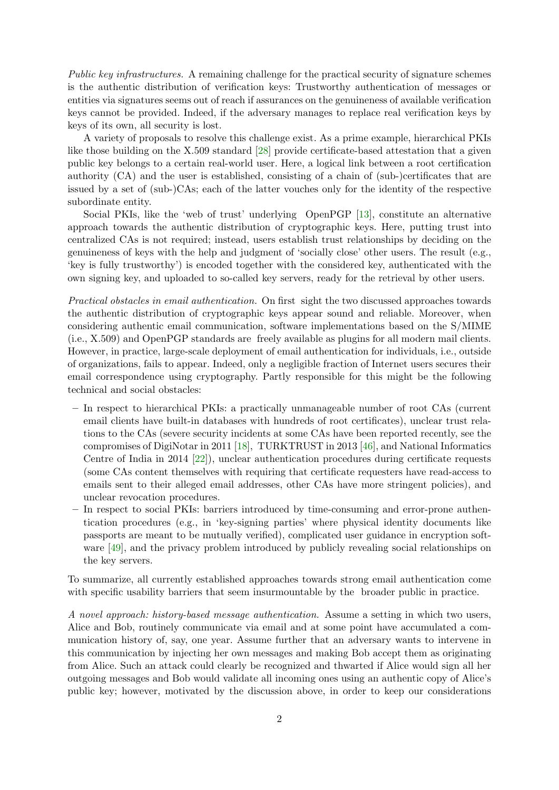Public key infrastructures. A remaining challenge for the practical security of signature schemes is the authentic distribution of verification keys: Trustworthy authentication of messages or entities via signatures seems out of reach if assurances on the genuineness of available verification keys cannot be provided. Indeed, if the adversary manages to replace real verification keys by keys of its own, all security is lost.

A variety of proposals to resolve this challenge exist. As a prime example, hierarchical PKIs like those building on the X.509 standard [\[28\]](#page-21-3) provide certificate-based attestation that a given public key belongs to a certain real-world user. Here, a logical link between a root certification authority (CA) and the user is established, consisting of a chain of (sub-)certificates that are issued by a set of (sub-)CAs; each of the latter vouches only for the identity of the respective subordinate entity.

Social PKIs, like the 'web of trust' underlying OpenPGP [\[13\]](#page-20-2), constitute an alternative approach towards the authentic distribution of cryptographic keys. Here, putting trust into centralized CAs is not required; instead, users establish trust relationships by deciding on the genuineness of keys with the help and judgment of 'socially close' other users. The result (e.g., 'key is fully trustworthy') is encoded together with the considered key, authenticated with the own signing key, and uploaded to so-called key servers, ready for the retrieval by other users.

Practical obstacles in email authentication. On first sight the two discussed approaches towards the authentic distribution of cryptographic keys appear sound and reliable. Moreover, when considering authentic email communication, software implementations based on the S/MIME (i.e., X.509) and OpenPGP standards are freely available as plugins for all modern mail clients. However, in practice, large-scale deployment of email authentication for individuals, i.e., outside of organizations, fails to appear. Indeed, only a negligible fraction of Internet users secures their email correspondence using cryptography. Partly responsible for this might be the following technical and social obstacles:

- In respect to hierarchical PKIs: a practically unmanageable number of root CAs (current email clients have built-in databases with hundreds of root certificates), unclear trust relations to the CAs (severe security incidents at some CAs have been reported recently, see the compromises of DigiNotar in 2011 [\[18\]](#page-21-4), TURKTRUST in 2013 [\[46\]](#page-21-5), and National Informatics Centre of India in 2014 [\[22\]](#page-21-6)), unclear authentication procedures during certificate requests (some CAs content themselves with requiring that certificate requesters have read-access to emails sent to their alleged email addresses, other CAs have more stringent policies), and unclear revocation procedures.
- In respect to social PKIs: barriers introduced by time-consuming and error-prone authentication procedures (e.g., in 'key-signing parties' where physical identity documents like passports are meant to be mutually verified), complicated user guidance in encryption software [\[49\]](#page-22-1), and the privacy problem introduced by publicly revealing social relationships on the key servers.

To summarize, all currently established approaches towards strong email authentication come with specific usability barriers that seem insurmountable by the broader public in practice.

A novel approach: history-based message authentication. Assume a setting in which two users, Alice and Bob, routinely communicate via email and at some point have accumulated a communication history of, say, one year. Assume further that an adversary wants to intervene in this communication by injecting her own messages and making Bob accept them as originating from Alice. Such an attack could clearly be recognized and thwarted if Alice would sign all her outgoing messages and Bob would validate all incoming ones using an authentic copy of Alice's public key; however, motivated by the discussion above, in order to keep our considerations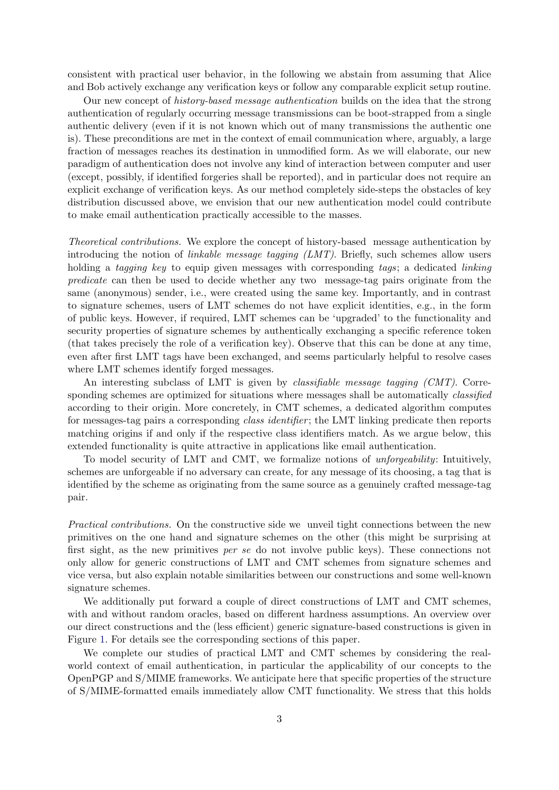consistent with practical user behavior, in the following we abstain from assuming that Alice and Bob actively exchange any verification keys or follow any comparable explicit setup routine.

Our new concept of history-based message authentication builds on the idea that the strong authentication of regularly occurring message transmissions can be boot-strapped from a single authentic delivery (even if it is not known which out of many transmissions the authentic one is). These preconditions are met in the context of email communication where, arguably, a large fraction of messages reaches its destination in unmodified form. As we will elaborate, our new paradigm of authentication does not involve any kind of interaction between computer and user (except, possibly, if identified forgeries shall be reported), and in particular does not require an explicit exchange of verification keys. As our method completely side-steps the obstacles of key distribution discussed above, we envision that our new authentication model could contribute to make email authentication practically accessible to the masses.

Theoretical contributions. We explore the concept of history-based message authentication by introducing the notion of *linkable message tagging*  $(LMT)$ . Briefly, such schemes allow users holding a *tagging key* to equip given messages with corresponding tags; a dedicated *linking* predicate can then be used to decide whether any two message-tag pairs originate from the same (anonymous) sender, i.e., were created using the same key. Importantly, and in contrast to signature schemes, users of LMT schemes do not have explicit identities, e.g., in the form of public keys. However, if required, LMT schemes can be 'upgraded' to the functionality and security properties of signature schemes by authentically exchanging a specific reference token (that takes precisely the role of a verification key). Observe that this can be done at any time, even after first LMT tags have been exchanged, and seems particularly helpful to resolve cases where LMT schemes identify forged messages.

An interesting subclass of LMT is given by *classifiable message tagging (CMT)*. Corresponding schemes are optimized for situations where messages shall be automatically *classified* according to their origin. More concretely, in CMT schemes, a dedicated algorithm computes for messages-tag pairs a corresponding *class identifier*; the LMT linking predicate then reports matching origins if and only if the respective class identifiers match. As we argue below, this extended functionality is quite attractive in applications like email authentication.

To model security of LMT and CMT, we formalize notions of unforgeability: Intuitively, schemes are unforgeable if no adversary can create, for any message of its choosing, a tag that is identified by the scheme as originating from the same source as a genuinely crafted message-tag pair.

Practical contributions. On the constructive side we unveil tight connections between the new primitives on the one hand and signature schemes on the other (this might be surprising at first sight, as the new primitives per se do not involve public keys). These connections not only allow for generic constructions of LMT and CMT schemes from signature schemes and vice versa, but also explain notable similarities between our constructions and some well-known signature schemes.

We additionally put forward a couple of direct constructions of LMT and CMT schemes, with and without random oracles, based on different hardness assumptions. An overview over our direct constructions and the (less efficient) generic signature-based constructions is given in Figure [1.](#page-0-0) For details see the corresponding sections of this paper.

We complete our studies of practical LMT and CMT schemes by considering the realworld context of email authentication, in particular the applicability of our concepts to the OpenPGP and S/MIME frameworks. We anticipate here that specific properties of the structure of S/MIME-formatted emails immediately allow CMT functionality. We stress that this holds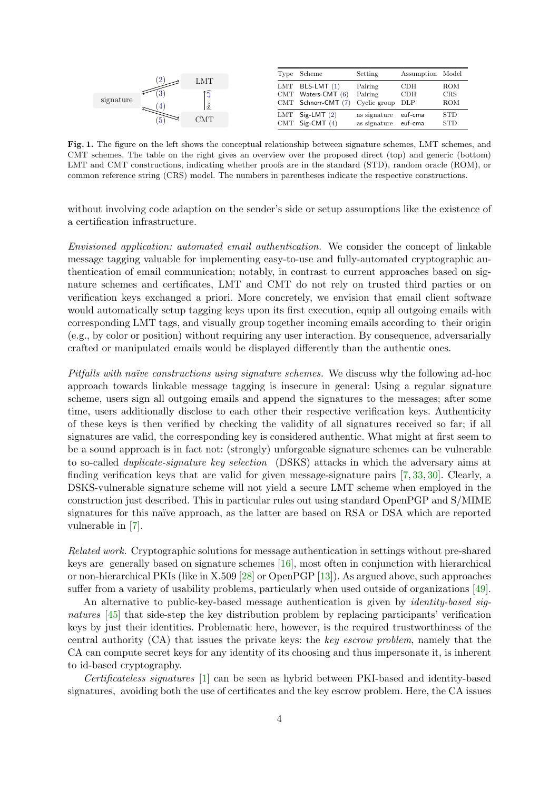|           |                  | Type Scheme                                                                         | Setting                                      | Assumption Model  |                                        |
|-----------|------------------|-------------------------------------------------------------------------------------|----------------------------------------------|-------------------|----------------------------------------|
| signature | LMT<br>↑নি<br>Š. | LMT BLS-LMT $(1)$<br>$CMT$ Waters-CMT $(6)$<br>CMT Schnorr-CMT (7) Cyclic group DLP | Pairing<br>Pairing                           | <b>CDH</b><br>CDH | <b>ROM</b><br><b>CRS</b><br><b>ROM</b> |
|           | CMT.             | LMT $Sig-LMT(2)$<br>CMT $Sig-CMT(4)$                                                | as signature euf-cma<br>as signature euf-cma |                   | <b>STD</b><br><b>STD</b>               |

Fig. 1. The figure on the left shows the conceptual relationship between signature schemes, LMT schemes, and CMT schemes. The table on the right gives an overview over the proposed direct (top) and generic (bottom) LMT and CMT constructions, indicating whether proofs are in the standard (STD), random oracle (ROM), or common reference string (CRS) model. The numbers in parentheses indicate the respective constructions.

without involving code adaption on the sender's side or setup assumptions like the existence of a certification infrastructure.

Envisioned application: automated email authentication. We consider the concept of linkable message tagging valuable for implementing easy-to-use and fully-automated cryptographic authentication of email communication; notably, in contrast to current approaches based on signature schemes and certificates, LMT and CMT do not rely on trusted third parties or on verification keys exchanged a priori. More concretely, we envision that email client software would automatically setup tagging keys upon its first execution, equip all outgoing emails with corresponding LMT tags, and visually group together incoming emails according to their origin (e.g., by color or position) without requiring any user interaction. By consequence, adversarially crafted or manipulated emails would be displayed differently than the authentic ones.

Pitfalls with naïve constructions using signature schemes. We discuss why the following ad-hoc approach towards linkable message tagging is insecure in general: Using a regular signature scheme, users sign all outgoing emails and append the signatures to the messages; after some time, users additionally disclose to each other their respective verification keys. Authenticity of these keys is then verified by checking the validity of all signatures received so far; if all signatures are valid, the corresponding key is considered authentic. What might at first seem to be a sound approach is in fact not: (strongly) unforgeable signature schemes can be vulnerable to so-called duplicate-signature key selection (DSKS) attacks in which the adversary aims at finding verification keys that are valid for given message-signature pairs [\[7,](#page-20-3) [33,](#page-21-7) [30\]](#page-21-8). Clearly, a DSKS-vulnerable signature scheme will not yield a secure LMT scheme when employed in the construction just described. This in particular rules out using standard OpenPGP and S/MIME signatures for this naïve approach, as the latter are based on RSA or DSA which are reported vulnerable in [\[7\]](#page-20-3).

Related work. Cryptographic solutions for message authentication in settings without pre-shared keys are generally based on signature schemes [\[16\]](#page-20-4), most often in conjunction with hierarchical or non-hierarchical PKIs (like in X.509 [\[28\]](#page-21-3) or OpenPGP [\[13\]](#page-20-2)). As argued above, such approaches suffer from a variety of usability problems, particularly when used outside of organizations [\[49\]](#page-22-1).

An alternative to public-key-based message authentication is given by *identity-based sig*natures [\[45\]](#page-21-9) that side-step the key distribution problem by replacing participants' verification keys by just their identities. Problematic here, however, is the required trustworthiness of the central authority (CA) that issues the private keys: the key escrow problem, namely that the CA can compute secret keys for any identity of its choosing and thus impersonate it, is inherent to id-based cryptography.

Certificateless signatures [\[1\]](#page-20-5) can be seen as hybrid between PKI-based and identity-based signatures, avoiding both the use of certificates and the key escrow problem. Here, the CA issues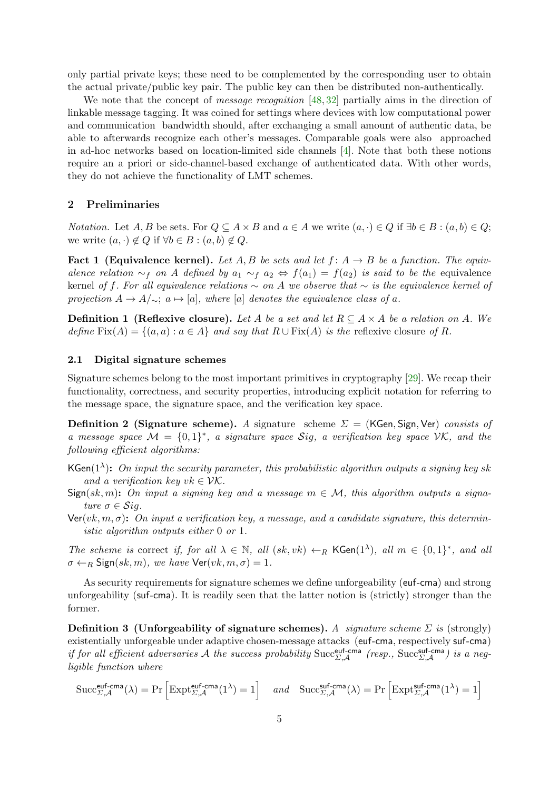only partial private keys; these need to be complemented by the corresponding user to obtain the actual private/public key pair. The public key can then be distributed non-authentically.

We note that the concept of *message recognition* [\[48,](#page-22-2) [32\]](#page-21-10) partially aims in the direction of linkable message tagging. It was coined for settings where devices with low computational power and communication bandwidth should, after exchanging a small amount of authentic data, be able to afterwards recognize each other's messages. Comparable goals were also approached in ad-hoc networks based on location-limited side channels [\[4\]](#page-20-6). Note that both these notions require an a priori or side-channel-based exchange of authenticated data. With other words, they do not achieve the functionality of LMT schemes.

## 2 Preliminaries

*Notation.* Let  $A, B$  be sets. For  $Q \subseteq A \times B$  and  $a \in A$  we write  $(a, \cdot) \in Q$  if  $\exists b \in B : (a, b) \in Q$ ; we write  $(a, \cdot) \notin Q$  if  $\forall b \in B : (a, b) \notin Q$ .

<span id="page-4-0"></span>**Fact 1 (Equivalence kernel).** Let A, B be sets and let  $f: A \rightarrow B$  be a function. The equivalence relation ∼f on A defined by  $a_1 \sim_f a_2 \Leftrightarrow f(a_1) = f(a_2)$  is said to be the equivalence kernel of f. For all equivalence relations  $\sim$  on A we observe that  $\sim$  is the equivalence kernel of projection  $A \to A/\sim$ ;  $a \mapsto [a]$ , where [a] denotes the equivalence class of a.

<span id="page-4-1"></span>**Definition 1 (Reflexive closure).** Let A be a set and let  $R \subseteq A \times A$  be a relation on A. We define  $Fix(A) = \{(a, a) : a \in A\}$  and say that  $R \cup Fix(A)$  is the reflexive closure of R.

#### 2.1 Digital signature schemes

Signature schemes belong to the most important primitives in cryptography [\[29\]](#page-21-11). We recap their functionality, correctness, and security properties, introducing explicit notation for referring to the message space, the signature space, and the verification key space.

**Definition 2 (Signature scheme).** A signature scheme  $\Sigma = (KGen, Sign, Ver)$  consists of a message space  $\mathcal{M} = \{0,1\}^*$ , a signature space Sig, a verification key space VK, and the following efficient algorithms:

- KGen( $1^{\lambda}$ ): On input the security parameter, this probabilistic algorithm outputs a signing key sk and a verification key vk  $\in$   $\mathcal{VK}$ .
- $Sign(sk, m)$ : On input a signing key and a message  $m \in \mathcal{M}$ , this algorithm outputs a signature  $\sigma \in \mathcal{S}ig$ .
- $\text{Ver}(vk, m, \sigma)$ : On input a verification key, a message, and a candidate signature, this deterministic algorithm outputs either 0 or 1.

The scheme is correct if, for all  $\lambda \in \mathbb{N}$ , all  $(sk, vk) \leftarrow_R \textsf{KGen}(1^{\lambda})$ , all  $m \in \{0,1\}^*$ , and all  $\sigma \leftarrow_R$  Sign(sk, m), we have  $\text{Ver}(vk, m, \sigma) = 1$ .

As security requirements for signature schemes we define unforgeability (euf-cma) and strong unforgeability (suf-cma). It is readily seen that the latter notion is (strictly) stronger than the former.

**Definition 3** (Unforgeability of signature schemes). A signature scheme  $\Sigma$  is (strongly) existentially unforgeable under adaptive chosen-message attacks (euf-cma, respectively suf-cma) if for all efficient adversaries A the success probability Succeuf-cma (resp., Succeuf-cma) is a negligible function where

$$
\mathrm{Succ}_{\varSigma,\mathcal{A}}^{\mathsf{euf-cma}}(\lambda) = \Pr\left[\mathrm{Expt}_{\varSigma,\mathcal{A}}^{\mathsf{euf-cma}}(1^{\lambda}) = 1\right] \quad \text{and} \quad \mathrm{Succ}_{\varSigma,\mathcal{A}}^{\mathsf{suf-cma}}(\lambda) = \Pr\left[\mathrm{Expt}_{\varSigma,\mathcal{A}}^{\mathsf{suf-cma}}(1^{\lambda}) = 1\right]
$$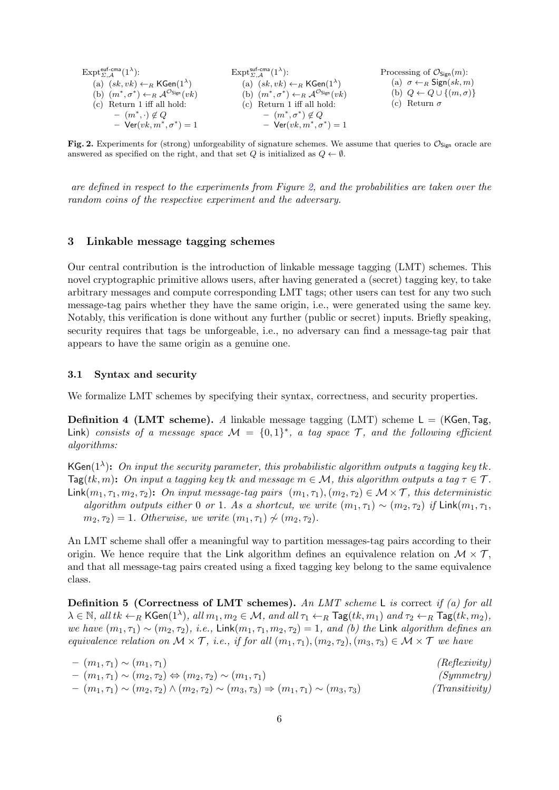| $\mathrm{Expt}_{\Sigma,A}^{\mathsf{euf-cma}}(1^{\lambda})$ :                   | $\mathrm{Expt}_{\Sigma,A}^{\mathsf{suf-cma}}(1^{\lambda})$ :                   | Processing of $\mathcal{O}_{\text{Sign}}(m)$ : |
|--------------------------------------------------------------------------------|--------------------------------------------------------------------------------|------------------------------------------------|
| (a) $(sk, vk) \leftarrow_R \text{KGen}(1^{\lambda})$                           | (a) $(sk, vk) \leftarrow_R \text{KGen}(1^{\lambda})$                           | (a) $\sigma \leftarrow_R$ Sign(sk, m)          |
| (b) $(m^*, \sigma^*) \leftarrow_R \mathcal{A}^{\mathcal{O}_{\text{Sign}}}(vk)$ | (b) $(m^*, \sigma^*) \leftarrow_R \mathcal{A}^{\mathcal{O}_{\text{Sign}}}(vk)$ | (b) $Q \leftarrow Q \cup \{(m, \sigma)\}\$     |
| $(c)$ Return 1 iff all hold:                                                   | $(c)$ Return 1 iff all hold:                                                   | (c) Return $\sigma$                            |
| $ (m^*, \cdot) \notin Q$                                                       | $ (m^*, \sigma^*) \notin Q$                                                    |                                                |
| $-$ Ver $(vk, m^*, \sigma^*) = 1$                                              | $- \text{Ver}(vk, m^*, \sigma^*) = 1$                                          |                                                |

Fig. 2. Experiments for (strong) unforgeability of signature schemes. We assume that queries to  $\mathcal{O}_{\text{Sign}}$  oracle are answered as specified on the right, and that set Q is initialized as  $Q \leftarrow \emptyset$ .

are defined in respect to the experiments from Figure [2,](#page-0-0) and the probabilities are taken over the random coins of the respective experiment and the adversary.

## 3 Linkable message tagging schemes

Our central contribution is the introduction of linkable message tagging (LMT) schemes. This novel cryptographic primitive allows users, after having generated a (secret) tagging key, to take arbitrary messages and compute corresponding LMT tags; other users can test for any two such message-tag pairs whether they have the same origin, i.e., were generated using the same key. Notably, this verification is done without any further (public or secret) inputs. Briefly speaking, security requires that tags be unforgeable, i.e., no adversary can find a message-tag pair that appears to have the same origin as a genuine one.

## 3.1 Syntax and security

We formalize LMT schemes by specifying their syntax, correctness, and security properties.

**Definition 4 (LMT scheme).** A linkable message tagging (LMT) scheme  $L = (KGen, Tag,$ Link) consists of a message space  $\mathcal{M} = \{0,1\}^*$ , a tag space T, and the following efficient algorithms:

KGen( $1^{\lambda}$ ): On input the security parameter, this probabilistic algorithm outputs a tagging key tk. Tag(tk, m): On input a tagging key tk and message  $m \in \mathcal{M}$ , this algorithm outputs a tag  $\tau \in \mathcal{T}$ . Link $(m_1, \tau_1, m_2, \tau_2)$ : On input message-tag pairs  $(m_1, \tau_1), (m_2, \tau_2) \in \mathcal{M} \times \mathcal{T}$ , this deterministic algorithm outputs either 0 or 1. As a shortcut, we write  $(m_1, \tau_1) \sim (m_2, \tau_2)$  if Link $(m_1, \tau_1)$ ,  $m_2, \tau_2$ ) = 1. Otherwise, we write  $(m_1, \tau_1) \nsim (m_2, \tau_2)$ .

An LMT scheme shall offer a meaningful way to partition messages-tag pairs according to their origin. We hence require that the Link algorithm defines an equivalence relation on  $\mathcal{M} \times \mathcal{T}$ , and that all message-tag pairs created using a fixed tagging key belong to the same equivalence class.

<span id="page-5-0"></span>**Definition 5 (Correctness of LMT schemes).** An LMT scheme L is correct if (a) for all  $\lambda \in \mathbb{N}$ , all  $tk \leftarrow_R \mathsf{KGen}(1^{\lambda})$ , all  $m_1, m_2 \in \mathcal{M}$ , and all  $\tau_1 \leftarrow_R \mathsf{Tag}(tk, m_1)$  and  $\tau_2 \leftarrow_R \mathsf{Tag}(tk, m_2)$ , we have  $(m_1, \tau_1) \sim (m_2, \tau_2)$ , i.e., Link $(m_1, \tau_1, m_2, \tau_2) = 1$ , and (b) the Link algorithm defines an equivalence relation on  $\mathcal{M} \times \mathcal{T}$ , i.e., if for all  $(m_1, \tau_1), (m_2, \tau_2), (m_3, \tau_3) \in \mathcal{M} \times \mathcal{T}$  we have

| $ (m_1, \tau_1) \sim (m_1, \tau_1)$                                                                                      | (Reflexivity)  |
|--------------------------------------------------------------------------------------------------------------------------|----------------|
| $ (m_1, \tau_1) \sim (m_2, \tau_2) \Leftrightarrow (m_2, \tau_2) \sim (m_1, \tau_1)$                                     | (Symmetry)     |
| $-(m_1, \tau_1) \sim (m_2, \tau_2) \wedge (m_2, \tau_2) \sim (m_3, \tau_3) \Rightarrow (m_1, \tau_1) \sim (m_3, \tau_3)$ | (Transitivity) |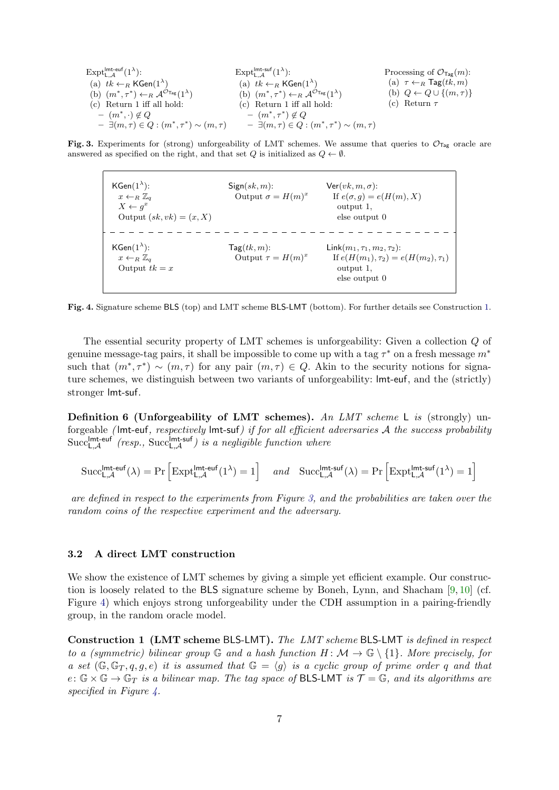| Expt <sup>lmt</sup> <sub>1</sub> , $\lambda$   | Expt <sup>lmt</sup> <sub>1</sub> , $\lambda$   | Processing of $\mathcal{O}_{\text{Tag}}(m)$ :                                        |                                                                                      |                            |
|------------------------------------------------|------------------------------------------------|--------------------------------------------------------------------------------------|--------------------------------------------------------------------------------------|----------------------------|
| (a) $tk \leftarrow_R \text{KGen}(1^{\lambda})$ | (a) $tk \leftarrow_R \text{KGen}(1^{\lambda})$ | (b) $(m^*, \tau^*) \leftarrow_R \mathcal{A}^{\mathcal{O}_{\text{Tag}}}(1^{\lambda})$ | (b) $(m^*, \tau^*) \leftarrow_R \mathcal{A}^{\mathcal{O}_{\text{Tag}}}(1^{\lambda})$ | (c) Return 1 iff all hold: |
| (c) Return 1 iff all hold:                     | (d) $\tau \leftarrow_R \text{Tag}(tk, m)$      |                                                                                      |                                                                                      |                            |
| (e) Return 1 iff all hold:                     | (e) Return 1 iff all hold:                     | (f) $\lambda$                                                                        |                                                                                      |                            |
| $-(m^*, \cdot) \notin Q$                       | $-(m^*, \cdot^*) \notin Q$                     | $-(m^*, \tau^*) \in Q : (m^*, \tau^*) \sim (m, \tau)$                                |                                                                                      |                            |

Fig. 3. Experiments for (strong) unforgeability of LMT schemes. We assume that queries to  $\mathcal{O}_{\text{Tag}}$  oracle are answered as specified on the right, and that set Q is initialized as  $Q \leftarrow \emptyset$ .



Fig. 4. Signature scheme BLS (top) and LMT scheme BLS-LMT (bottom). For further details see Construction [1.](#page-6-0)

The essential security property of LMT schemes is unforgeability: Given a collection Q of genuine message-tag pairs, it shall be impossible to come up with a tag  $\tau^*$  on a fresh message  $m^*$ such that  $(m^*, \tau^*) \sim (m, \tau)$  for any pair  $(m, \tau) \in Q$ . Akin to the security notions for signature schemes, we distinguish between two variants of unforgeability: lmt-euf, and the (strictly) stronger lmt-suf.

**Definition 6 (Unforgeability of LMT schemes).** An LMT scheme L is (strongly) unforgeable ( lmt-euf, respectively lmt-suf) if for all efficient adversaries A the success probability Succ<sup>lmt-euf</sup> (resp., Succ<sup>lmt-suf</sup>) is a negligible function where

$$
\mathrm{Succ}_{\mathsf{L},\mathcal{A}}^{\mathsf{Int}\text{-}\mathsf{euf}}(\lambda) = \Pr\left[\mathrm{Expt}_{\mathsf{L},\mathcal{A}}^{\mathsf{Int}\text{-}\mathsf{euf}}(1^{\lambda}) = 1\right] \quad \text{and} \quad \mathrm{Succ}_{\mathsf{L},\mathcal{A}}^{\mathsf{Int}\text{-}\mathsf{suf}}(\lambda) = \Pr\left[\mathrm{Expt}_{\mathsf{L},\mathcal{A}}^{\mathsf{Int}\text{-}\mathsf{suf}}(1^{\lambda}) = 1\right]
$$

are defined in respect to the experiments from Figure [3,](#page-0-0) and the probabilities are taken over the random coins of the respective experiment and the adversary.

#### 3.2 A direct LMT construction

We show the existence of LMT schemes by giving a simple yet efficient example. Our construction is loosely related to the BLS signature scheme by Boneh, Lynn, and Shacham [\[9,](#page-20-0) [10\]](#page-20-7) (cf. Figure [4\)](#page-0-0) which enjoys strong unforgeability under the CDH assumption in a pairing-friendly group, in the random oracle model.

<span id="page-6-0"></span>Construction 1 (LMT scheme BLS-LMT). The LMT scheme BLS-LMT is defined in respect to a (symmetric) bilinear group  $\mathbb{G}$  and a hash function  $H \colon \mathcal{M} \to \mathbb{G} \setminus \{1\}$ . More precisely, for a set  $(\mathbb{G}, \mathbb{G}_T, q, g, e)$  it is assumed that  $\mathbb{G} = \langle g \rangle$  is a cyclic group of prime order q and that  $e: \mathbb{G} \times \mathbb{G} \to \mathbb{G}_T$  is a bilinear map. The tag space of BLS-LMT is  $\mathcal{T} = \mathbb{G}$ , and its algorithms are specified in Figure [4.](#page-0-0)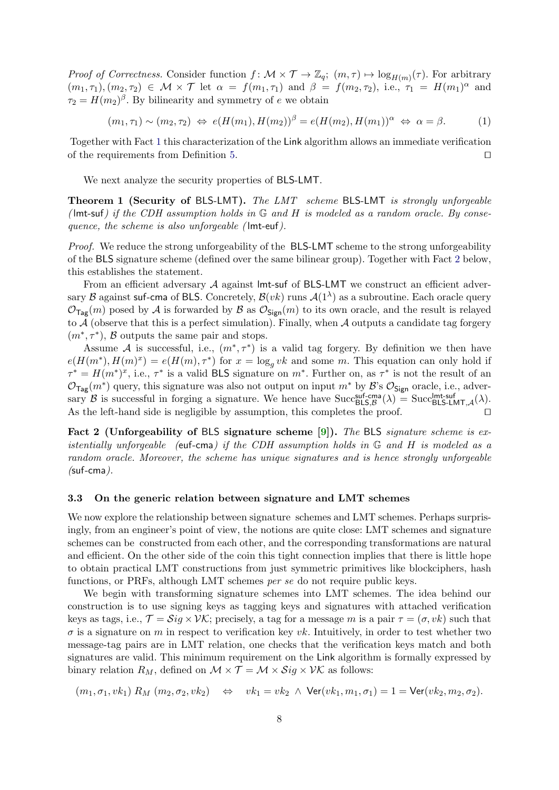*Proof of Correctness.* Consider function  $f: \mathcal{M} \times \mathcal{T} \to \mathbb{Z}_q$ ;  $(m, \tau) \mapsto \log_{H(m)}(\tau)$ . For arbitrary  $(m_1, \tau_1), (m_2, \tau_2) \in \mathcal{M} \times \mathcal{T}$  let  $\alpha = f(m_1, \tau_1)$  and  $\beta = f(m_2, \tau_2)$ , i.e.,  $\tau_1 = H(m_1)^{\alpha}$  and  $\tau_2 = H(m_2)^\beta$ . By bilinearity and symmetry of e we obtain

$$
(m_1, \tau_1) \sim (m_2, \tau_2) \Leftrightarrow e(H(m_1), H(m_2))^{\beta} = e(H(m_2), H(m_1))^{\alpha} \Leftrightarrow \alpha = \beta. \tag{1}
$$

Together with Fact [1](#page-4-0) this characterization of the Link algorithm allows an immediate verification of the requirements from Definition [5.](#page-5-0)  $\Box$ 

We next analyze the security properties of BLS-LMT.

Theorem 1 (Security of BLS-LMT). The LMT scheme BLS-LMT is strongly unforgeable ( $lmt-suf$ ) if the CDH assumption holds in  $G$  and H is modeled as a random oracle. By consequence, the scheme is also unforgeable ( lmt-euf).

*Proof.* We reduce the strong unforgeability of the BLS-LMT scheme to the strong unforgeability of the BLS signature scheme (defined over the same bilinear group). Together with Fact [2](#page-7-0) below, this establishes the statement.

From an efficient adversary  $A$  against lmt-suf of BLS-LMT we construct an efficient adversary  $\mathcal B$  against suf-cma of BLS. Concretely,  $\mathcal B(vk)$  runs  $\mathcal A(1^\lambda)$  as a subroutine. Each oracle query  $\mathcal{O}_{\text{Tag}}(m)$  posed by A is forwarded by B as  $\mathcal{O}_{\text{Sign}}(m)$  to its own oracle, and the result is relayed to  $A$  (observe that this is a perfect simulation). Finally, when  $A$  outputs a candidate tag forgery  $(m^*, \tau^*)$ , B outputs the same pair and stops.

Assume A is successful, i.e.,  $(m^*, \tau^*)$  is a valid tag forgery. By definition we then have  $e(H(m^*), H(m)^x) = e(H(m), \tau^*)$  for  $x = \log_g v k$  and some m. This equation can only hold if  $\tau^* = H(m^*)^x$ , i.e.,  $\tau^*$  is a valid BLS signature on  $m^*$ . Further on, as  $\tau^*$  is not the result of an  $\mathcal{O}_{\text{Tag}}(m^*)$  query, this signature was also not output on input  $m^*$  by  $\mathcal{B}$ 's  $\mathcal{O}_{\text{Sign}}$  oracle, i.e., adversary  $\mathcal B$  is successful in forging a signature. We hence have  $\text{Succ}_{\text{BLS},\mathcal B}^{\text{suf-cma}}(\lambda) = \text{Succ}_{\text{BLS-LMT},\mathcal A}^{\text{lmt-suf}}(\lambda)$ . As the left-hand side is negligible by assumption, this completes the proof.  $\square$ 

<span id="page-7-0"></span>Fact 2 (Unforgeability of BLS signature scheme [\[9\]](#page-20-0)). The BLS signature scheme is existentially unforgeable (euf-cma) if the CDH assumption holds in  $\mathbb G$  and H is modeled as a random oracle. Moreover, the scheme has unique signatures and is hence strongly unforgeable (suf-cma).

### 3.3 On the generic relation between signature and LMT schemes

We now explore the relationship between signature schemes and LMT schemes. Perhaps surprisingly, from an engineer's point of view, the notions are quite close: LMT schemes and signature schemes can be constructed from each other, and the corresponding transformations are natural and efficient. On the other side of the coin this tight connection implies that there is little hope to obtain practical LMT constructions from just symmetric primitives like blockciphers, hash functions, or PRFs, although LMT schemes per se do not require public keys.

We begin with transforming signature schemes into LMT schemes. The idea behind our construction is to use signing keys as tagging keys and signatures with attached verification keys as tags, i.e.,  $\mathcal{T} = \mathcal{S}ig \times \mathcal{VK}$ ; precisely, a tag for a message m is a pair  $\tau = (\sigma, vk)$  such that  $\sigma$  is a signature on m in respect to verification key vk. Intuitively, in order to test whether two message-tag pairs are in LMT relation, one checks that the verification keys match and both signatures are valid. This minimum requirement on the Link algorithm is formally expressed by binary relation  $R_M$ , defined on  $\mathcal{M} \times \mathcal{T} = \mathcal{M} \times \mathcal{S}ig \times \mathcal{VK}$  as follows:

$$
(m_1, \sigma_1, vk_1) R_M (m_2, \sigma_2, vk_2) \Leftrightarrow vk_1 = vk_2 \wedge \text{Ver}(vk_1, m_1, \sigma_1) = 1 = \text{Ver}(vk_2, m_2, \sigma_2).
$$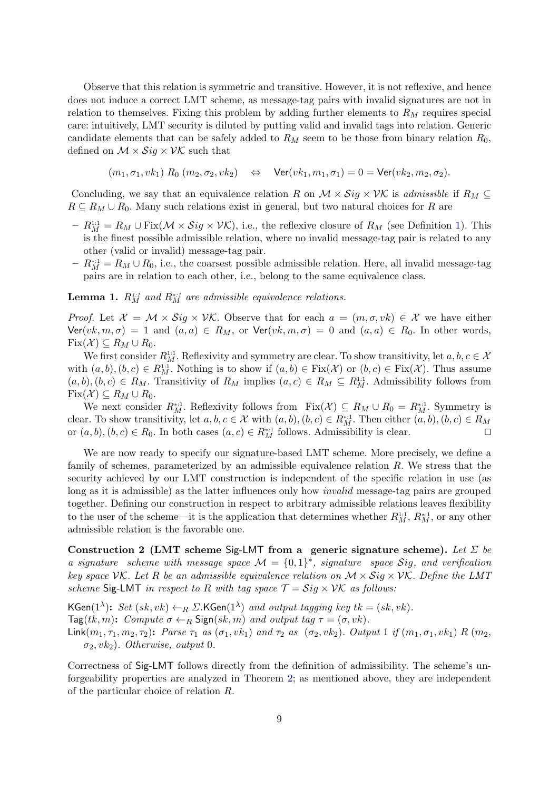Observe that this relation is symmetric and transitive. However, it is not reflexive, and hence does not induce a correct LMT scheme, as message-tag pairs with invalid signatures are not in relation to themselves. Fixing this problem by adding further elements to  $R_M$  requires special care: intuitively, LMT security is diluted by putting valid and invalid tags into relation. Generic candidate elements that can be safely added to  $R_M$  seem to be those from binary relation  $R_0$ , defined on  $\mathcal{M} \times \mathcal{S}ig \times \mathcal{VK}$  such that

$$
(m_1, \sigma_1, vk_1) R_0 (m_2, \sigma_2, vk_2) \Leftrightarrow \text{Ver}(vk_1, m_1, \sigma_1) = 0 = \text{Ver}(vk_2, m_2, \sigma_2).
$$

Concluding, we say that an equivalence relation R on  $\mathcal{M} \times \mathcal{S}ig \times \mathcal{VK}$  is admissible if  $R_M \subseteq$  $R \subseteq R_M \cup R_0$ . Many such relations exist in general, but two natural choices for R are

- $-R_M^{1:1} = R_M \cup Fix(\mathcal{M} \times \mathcal{S}ig \times \mathcal{VK})$ , i.e., the reflexive closure of  $R_M$  (see Definition [1\)](#page-4-1). This is the finest possible admissible relation, where no invalid message-tag pair is related to any other (valid or invalid) message-tag pair.
- $-R_M^{*;1} = R_M \cup R_0$ , i.e., the coarsest possible admissible relation. Here, all invalid message-tag pairs are in relation to each other, i.e., belong to the same equivalence class.

## <span id="page-8-1"></span>**Lemma 1.**  $R_M^{1:1}$  and  $R_M^{*:1}$  are admissible equivalence relations.

*Proof.* Let  $\mathcal{X} = \mathcal{M} \times \mathcal{S}ig \times \mathcal{V}k$ . Observe that for each  $a = (m, \sigma, vk) \in \mathcal{X}$  we have either  $\text{Ver}(vk, m, \sigma) = 1$  and  $(a, a) \in R_M$ , or  $\text{Ver}(vk, m, \sigma) = 0$  and  $(a, a) \in R_0$ . In other words,  $Fix(\mathcal{X}) \subseteq R_M \cup R_0.$ 

We first consider  $R_M^{1:1}$ . Reflexivity and symmetry are clear. To show transitivity, let  $a, b, c \in \mathcal{X}$ with  $(a, b), (b, c) \in R_M^{1:1}$ . Nothing is to show if  $(a, b) \in Fix(\mathcal{X})$  or  $(b, c) \in Fix(\mathcal{X})$ . Thus assume  $(a, b), (b, c) \in R_M$ . Transitivity of  $R_M$  implies  $(a, c) \in R_M \subseteq R_M^{1:1}$ . Admissibility follows from  $Fix(\mathcal{X}) \subseteq R_M \cup R_0.$ 

We next consider  $R_M^{*1}$ . Reflexivity follows from  $Fix(\mathcal{X}) \subseteq R_M \cup R_0 = R_M^{*1}$ . Symmetry is clear. To show transitivity, let  $a, b, c \in \mathcal{X}$  with  $(a, b), (b, c) \in R_M^{*1}$ . Then either  $(a, b), (b, c) \in R_M$ or  $(a, b), (b, c) \in R_0$ . In both cases  $(a, c) \in R_M^{*1}$  follows. Admissibility is clear.

We are now ready to specify our signature-based LMT scheme. More precisely, we define a family of schemes, parameterized by an admissible equivalence relation R. We stress that the security achieved by our LMT construction is independent of the specific relation in use (as long as it is admissible) as the latter influences only how invalid message-tag pairs are grouped together. Defining our construction in respect to arbitrary admissible relations leaves flexibility to the user of the scheme—it is the application that determines whether  $R_M^{1:1}, R_M^{*:1}$ , or any other admissible relation is the favorable one.

<span id="page-8-0"></span>Construction 2 (LMT scheme Sig-LMT from a generic signature scheme). Let  $\Sigma$  be a signature scheme with message space  $\mathcal{M} = \{0,1\}^*$ , signature space Sig, and verification key space VK. Let R be an admissible equivalence relation on  $\mathcal{M} \times \mathcal{S}ig \times \mathcal{V} \mathcal{K}$ . Define the LMT scheme Sig-LMT in respect to R with tag space  $\mathcal{T} = \mathcal{S}ig \times \mathcal{VK}$  as follows:

KGen(1<sup> $\lambda$ </sup>): Set (sk, vk)  $\leftarrow_R \Sigma$ .KGen(1<sup> $\lambda$ </sup>) and output tagging key tk = (sk, vk). Tag(tk, m): Compute  $\sigma \leftarrow_R$  Sign(sk, m) and output tag  $\tau = (\sigma, vk)$ . Link $(m_1, \tau_1, m_2, \tau_2)$ : Parse  $\tau_1$  as  $(\sigma_1, vk_1)$  and  $\tau_2$  as  $(\sigma_2, vk_2)$ . Output 1 if  $(m_1, \sigma_1, vk_1)$  R  $(m_2,$  $\sigma_2, vk_2$ ). Otherwise, output 0.

Correctness of Sig-LMT follows directly from the definition of admissibility. The scheme's unforgeability properties are analyzed in Theorem [2;](#page-0-0) as mentioned above, they are independent of the particular choice of relation R.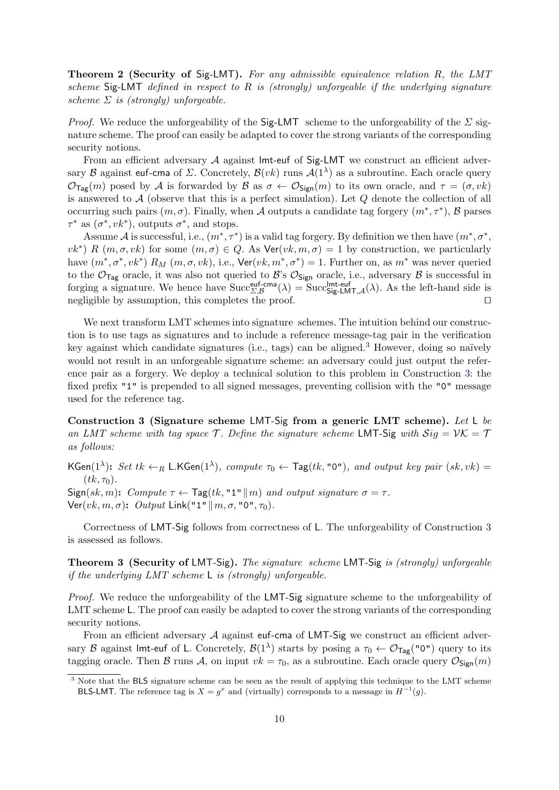**Theorem 2 (Security of Sig-LMT).** For any admissible equivalence relation  $R$ , the LMT scheme Sig-LMT defined in respect to R is (strongly) unforgeable if the underlying signature scheme  $\Sigma$  is (strongly) unforgeable.

*Proof.* We reduce the unforgeability of the Sig-LMT scheme to the unforgeability of the  $\Sigma$  signature scheme. The proof can easily be adapted to cover the strong variants of the corresponding security notions.

From an efficient adversary  $\mathcal A$  against lmt-euf of Sig-LMT we construct an efficient adversary  $\beta$  against euf-cma of  $\Sigma$ . Concretely,  $\mathcal{B}(vk)$  runs  $\mathcal{A}(1^{\lambda})$  as a subroutine. Each oracle query  $\mathcal{O}_{\text{Tag}}(m)$  posed by A is forwarded by B as  $\sigma \leftarrow \mathcal{O}_{\text{Sign}}(m)$  to its own oracle, and  $\tau = (\sigma, vk)$ is answered to  $A$  (observe that this is a perfect simulation). Let  $Q$  denote the collection of all occurring such pairs  $(m, \sigma)$ . Finally, when A outputs a candidate tag forgery  $(m^*, \tau^*)$ , B parses  $\tau^*$  as  $(\sigma^*, v k^*)$ , outputs  $\sigma^*$ , and stops.

Assume A is successful, i.e.,  $(m^*, \tau^*)$  is a valid tag forgery. By definition we then have  $(m^*, \sigma^*,$ vk<sup>\*</sup>) R  $(m, \sigma, vk)$  for some  $(m, \sigma) \in Q$ . As  $\text{Ver}(vk, m, \sigma) = 1$  by construction, we particularly have  $(m^*, \sigma^*, vk^*)$   $R_M$   $(m, \sigma, vk)$ , i.e.,  $\mathsf{Ver}(vk, m^*, \sigma^*) = 1$ . Further on, as  $m^*$  was never queried to the  $\mathcal{O}_{\text{Tag}}$  oracle, it was also not queried to  $\mathcal{B}$ 's  $\mathcal{O}_{\text{Sign}}$  oracle, i.e., adversary  $\mathcal{B}$  is successful in forging a signature. We hence have  $Succ_{\mathcal{S},\mathcal{B}}^{\text{cut-cma}}(\lambda) = Succ_{\text{Sig-LMT},\mathcal{A}}^{\text{Int-euf}}(\lambda)$ . As the left-hand side is negligible by assumption, this completes the proof.  $\Box$ 

We next transform LMT schemes into signature schemes. The intuition behind our construction is to use tags as signatures and to include a reference message-tag pair in the verification key against which candidate signatures (i.e., tags) can be aligned.<sup>[3](#page-9-1)</sup> However, doing so naïvely would not result in an unforgeable signature scheme: an adversary could just output the reference pair as a forgery. We deploy a technical solution to this problem in Construction [3:](#page-9-0) the fixed prefix "1" is prepended to all signed messages, preventing collision with the "0" message used for the reference tag.

<span id="page-9-0"></span>Construction 3 (Signature scheme LMT-Sig from a generic LMT scheme). Let L be an LMT scheme with tag space  $\mathcal{T}$ . Define the signature scheme LMT-Sig with  $\mathcal{S}iq = \mathcal{VK} = \mathcal{T}$ as follows:

KGen(1<sup> $\lambda$ </sup>): Set tk  $\leftarrow_R L$ .KGen(1 $\lambda$ ), compute  $\tau_0 \leftarrow \text{Tag}(tk, "0"),$  and output key pair  $(sk, vk)$  =  $(tk, \tau_0)$ .

Sign(sk, m): Compute  $\tau \leftarrow \text{Tag}(tk, "1"||m)$  and output signature  $\sigma = \tau$ . Ver(vk,  $m, \sigma$ ): Output Link("1"  $\| m, \sigma,$ "0",  $\tau_0$ ).

Correctness of LMT-Sig follows from correctness of L. The unforgeability of Construction [3](#page-9-0) is assessed as follows.

Theorem 3 (Security of LMT-Sig). The signature scheme LMT-Sig is (strongly) unforgeable if the underlying LMT scheme L is (strongly) unforgeable.

Proof. We reduce the unforgeability of the LMT-Sig signature scheme to the unforgeability of LMT scheme L. The proof can easily be adapted to cover the strong variants of the corresponding security notions.

From an efficient adversary  $A$  against euf-cma of LMT-Sig we construct an efficient adversary  $\beta$  against lmt-euf of L. Concretely,  $\mathcal{B}(1^{\lambda})$  starts by posing a  $\tau_0 \leftarrow \mathcal{O}_{\text{Tag}}("0")$  query to its tagging oracle. Then B runs A, on input  $vk = \tau_0$ , as a subroutine. Each oracle query  $\mathcal{O}_{\text{Sign}}(m)$ 

<span id="page-9-1"></span><sup>&</sup>lt;sup>3</sup> Note that the BLS signature scheme can be seen as the result of applying this technique to the LMT scheme **BLS-LMT**. The reference tag is  $X = g^x$  and (virtually) corresponds to a message in  $H^{-1}(g)$ .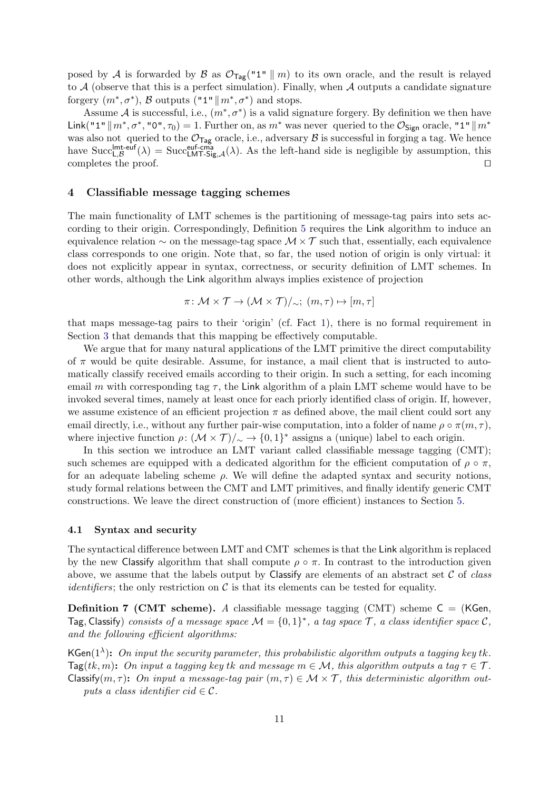posed by A is forwarded by B as  $\mathcal{O}_{\text{Tag}}(\mathbf{1}^n \parallel m)$  to its own oracle, and the result is relayed to  $A$  (observe that this is a perfect simulation). Finally, when  $A$  outputs a candidate signature forgery  $(m^*, \sigma^*)$ ,  $\beta$  outputs  $(\ulcorner 1 \urcorner \urcorner m^*, \sigma^*)$  and stops.

Assume A is successful, i.e.,  $(m^*, \sigma^*)$  is a valid signature forgery. By definition we then have Link("1"  $\|m^*, \sigma^*,$ "0",  $\tau_0$ ) = 1. Further on, as  $m^*$  was never queried to the  $\mathcal{O}_{Sign}$  oracle, "1"  $\|m^*$ was also not queried to the  $\mathcal{O}_{\mathsf{Tag}}$  oracle, i.e., adversary  $\mathcal B$  is successful in forging a tag. We hence have  $Succ_{L,\mathcal{B}}^{lmt-euf}(\lambda) = Succ_{LMT-Sig,\mathcal{A}}^{enf-cm\overline{a}}(\lambda)$ . As the left-hand side is negligible by assumption, this completes the proof.  $\Box$ 

## 4 Classifiable message tagging schemes

The main functionality of LMT schemes is the partitioning of message-tag pairs into sets according to their origin. Correspondingly, Definition [5](#page-5-0) requires the Link algorithm to induce an equivalence relation  $\sim$  on the message-tag space  $\mathcal{M} \times \mathcal{T}$  such that, essentially, each equivalence class corresponds to one origin. Note that, so far, the used notion of origin is only virtual: it does not explicitly appear in syntax, correctness, or security definition of LMT schemes. In other words, although the Link algorithm always implies existence of projection

$$
\pi \colon \mathcal{M} \times \mathcal{T} \to (\mathcal{M} \times \mathcal{T})/_{\sim}; (m, \tau) \mapsto [m, \tau]
$$

that maps message-tag pairs to their 'origin' (cf. Fact [1\)](#page-4-0), there is no formal requirement in Section [3](#page-0-0) that demands that this mapping be effectively computable.

We argue that for many natural applications of the LMT primitive the direct computability of  $\pi$  would be quite desirable. Assume, for instance, a mail client that is instructed to automatically classify received emails according to their origin. In such a setting, for each incoming email m with corresponding tag  $\tau$ , the Link algorithm of a plain LMT scheme would have to be invoked several times, namely at least once for each priorly identified class of origin. If, however, we assume existence of an efficient projection  $\pi$  as defined above, the mail client could sort any email directly, i.e., without any further pair-wise computation, into a folder of name  $\rho \circ \pi(m, \tau)$ , where injective function  $\rho: (\mathcal{M} \times \mathcal{T})/\sim \mathcal{M} \times \{0,1\}^*$  assigns a (unique) label to each origin.

In this section we introduce an LMT variant called classifiable message tagging (CMT); such schemes are equipped with a dedicated algorithm for the efficient computation of  $\rho \circ \pi$ , for an adequate labeling scheme  $\rho$ . We will define the adapted syntax and security notions, study formal relations between the CMT and LMT primitives, and finally identify generic CMT constructions. We leave the direct construction of (more efficient) instances to Section [5.](#page-0-0)

#### 4.1 Syntax and security

The syntactical difference between LMT and CMT schemes is that the Link algorithm is replaced by the new Classify algorithm that shall compute  $\rho \circ \pi$ . In contrast to the introduction given above, we assume that the labels output by Classify are elements of an abstract set  $\mathcal C$  of class *identifiers*; the only restriction on  $\mathcal C$  is that its elements can be tested for equality.

<span id="page-10-0"></span>**Definition 7 (CMT scheme).** A classifiable message tagging (CMT) scheme  $C = (KGen,$ Tag, Classify) consists of a message space  $\mathcal{M} = \{0,1\}^*$ , a tag space T, a class identifier space C, and the following efficient algorithms:

KGen( $1^{\lambda}$ ): On input the security parameter, this probabilistic algorithm outputs a tagging key tk.  $\text{Tag}(tk, m)$ : On input a tagging key tk and message  $m \in \mathcal{M}$ , this algorithm outputs a tag  $\tau \in \mathcal{T}$ . Classify $(m, \tau)$ : On input a message-tag pair  $(m, \tau) \in \mathcal{M} \times \mathcal{T}$ , this deterministic algorithm outputs a class identifier cid  $\in \mathcal{C}$ .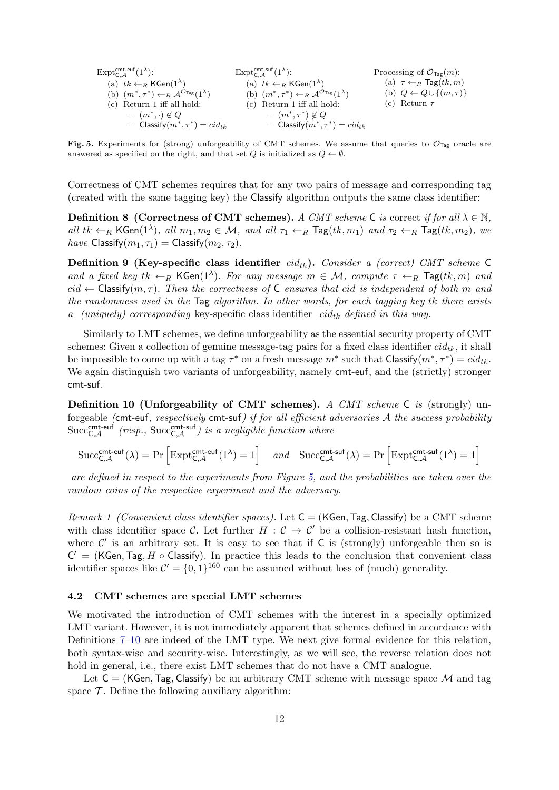| $\mathrm{Expt}_{C,\mathcal{A}}^{\mathsf{cmt-euf}}(1^{\lambda})$ :                    | $\mathrm{Expt}_{C,\mathcal{A}}^{\mathsf{cmt-suf}}(1^{\lambda})$ :                    | Processing of $\mathcal{O}_{\text{Tag}}(m)$ : |
|--------------------------------------------------------------------------------------|--------------------------------------------------------------------------------------|-----------------------------------------------|
| (a) $tk \leftarrow_R \mathsf{KGen}(1^\lambda)$                                       | (a) $tk \leftarrow_R \textsf{KGen}(1^{\lambda})$                                     | (a) $\tau \leftarrow_R \text{Tag}(tk, m)$     |
| (b) $(m^*, \tau^*) \leftarrow_R \mathcal{A}^{\mathcal{O}_{\mathsf{Tag}}}(1^\lambda)$ | (b) $(m^*, \tau^*) \leftarrow_R \mathcal{A}^{\mathcal{O}_{\text{Tag}}}(1^{\lambda})$ | (b) $Q \leftarrow Q \cup \{(m, \tau)\}\$      |
| (c) Return 1 iff all hold:                                                           | $(c)$ Return 1 iff all hold:                                                         | (c) Return $\tau$                             |
| $ (m^*, \cdot) \notin Q$                                                             | $ (m^*, \tau^*) \notin Q$                                                            |                                               |
| - Classify $(m^*, \tau^*) = c i d_{tk}$                                              | - Classify $(m^*, \tau^*) = c i d_{tk}$                                              |                                               |

Fig. 5. Experiments for (strong) unforgeability of CMT schemes. We assume that queries to  $\mathcal{O}_{\text{Tag}}$  oracle are answered as specified on the right, and that set Q is initialized as  $Q \leftarrow \emptyset$ .

Correctness of CMT schemes requires that for any two pairs of message and corresponding tag (created with the same tagging key) the Classify algorithm outputs the same class identifier:

**Definition 8** (Correctness of CMT schemes). A CMT scheme C is correct if for all  $\lambda \in \mathbb{N}$ , all  $tk \leftarrow_R \textsf{KGen}(1^{\lambda})$ , all  $m_1, m_2 \in \mathcal{M}$ , and all  $\tau_1 \leftarrow_R \textsf{Tag}(tk, m_1)$  and  $\tau_2 \leftarrow_R \textsf{Tag}(tk, m_2)$ , we have Classify $(m_1, \tau_1) =$ Classify $(m_2, \tau_2)$ .

Definition 9 (Key-specific class identifier  $cid_{tk}$ ). Consider a (correct) CMT scheme C and a fixed key tk  $\leftarrow_R$  KGen(1<sup> $\lambda$ </sup>). For any message  $m \in \mathcal{M}$ , compute  $\tau \leftarrow_R$  Tag(tk, m) and  $cid \leftarrow \textsf{Classify}(m, \tau)$ . Then the correctness of C ensures that cid is independent of both m and the randomness used in the Tag algorithm. In other words, for each tagging key tk there exists a (uniquely) corresponding key-specific class identifier  $cid_{tk}$  defined in this way.

Similarly to LMT schemes, we define unforgeability as the essential security property of CMT schemes: Given a collection of genuine message-tag pairs for a fixed class identifier  $cid_{tk}$ , it shall be impossible to come up with a tag  $\tau^*$  on a fresh message  $m^*$  such that Classify $(m^*, \tau^*) = c \cdot id_{tk}$ . We again distinguish two variants of unforgeability, namely cmt-euf, and the (strictly) stronger cmt-suf.

<span id="page-11-0"></span>Definition 10 (Unforgeability of CMT schemes). A CMT scheme C is (strongly) unforgeable (cmt-euf, respectively cmt-suf) if for all efficient adversaries  $A$  the success probability Succ<sub>C,A</sub> (resp., Succ<sub>C,A</sub>) is a negligible function where

$$
\mathrm{Succ}^{\mathsf{cmt}\text{-}\mathsf{euf}}_{\mathsf{C},\mathcal{A}}(\lambda) = \Pr\left[\mathrm{Expt}^{\mathsf{cmt}\text{-}\mathsf{euf}}_{\mathsf{C},\mathcal{A}}(1^{\lambda}) = 1\right] \quad \text{and} \quad \mathrm{Succ}^{\mathsf{cmt}\text{-}\mathsf{suf}}_{\mathsf{C},\mathcal{A}}(\lambda) = \Pr\left[\mathrm{Expt}^{\mathsf{cmt}\text{-}\mathsf{suf}}_{\mathsf{C},\mathcal{A}}(1^{\lambda}) = 1\right]
$$

are defined in respect to the experiments from Figure [5,](#page-0-0) and the probabilities are taken over the random coins of the respective experiment and the adversary.

<span id="page-11-1"></span>Remark 1 (Convenient class identifier spaces). Let  $C = (KGen, Tag, Classify)$  be a CMT scheme with class identifier space C. Let further  $H : C \to C'$  be a collision-resistant hash function, where  $\mathcal{C}'$  is an arbitrary set. It is easy to see that if  $\mathsf{C}$  is (strongly) unforgeable then so is  $C' = (KGen, Tag, H \circ Classify).$  In practice this leads to the conclusion that convenient class identifier spaces like  $\mathcal{C}' = \{0, 1\}^{160}$  can be assumed without loss of (much) generality.

#### 4.2 CMT schemes are special LMT schemes

We motivated the introduction of CMT schemes with the interest in a specially optimized LMT variant. However, it is not immediately apparent that schemes defined in accordance with Definitions [7–](#page-10-0)[10](#page-11-0) are indeed of the LMT type. We next give formal evidence for this relation, both syntax-wise and security-wise. Interestingly, as we will see, the reverse relation does not hold in general, i.e., there exist LMT schemes that do not have a CMT analogue.

Let  $C = (KGen, Tag, Classify)$  be an arbitrary CMT scheme with message space M and tag space  $\mathcal T$ . Define the following auxiliary algorithm: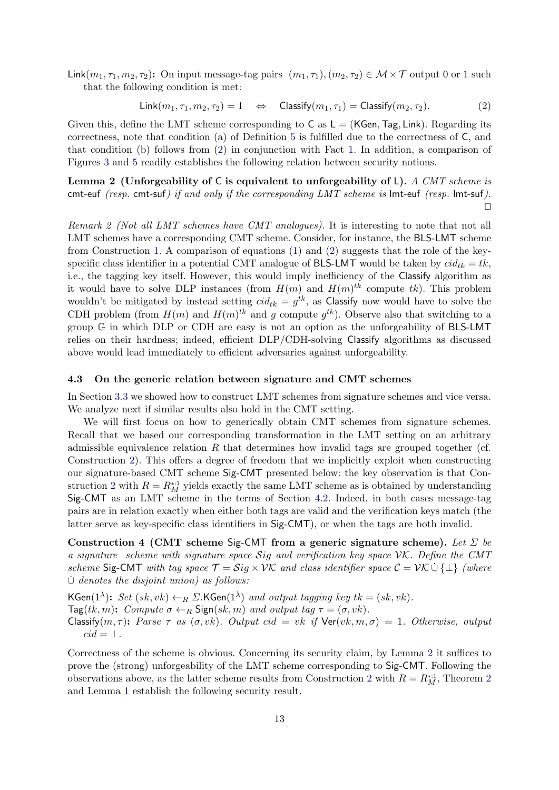Link $(m_1, \tau_1, m_2, \tau_2)$ : On input message-tag pairs  $(m_1, \tau_1), (m_2, \tau_2) \in \mathcal{M} \times \mathcal{T}$  output 0 or 1 such that the following condition is met:

$$
Link(m_1, \tau_1, m_2, \tau_2) = 1 \quad \Leftrightarrow \quad Classify(m_1, \tau_1) = Classify(m_2, \tau_2). \tag{2}
$$

Given this, define the LMT scheme corresponding to  $C$  as  $L = (KGen, Tag, Link)$ . Regarding its correctness, note that condition (a) of Definition [5](#page-5-0) is fulfilled due to the correctness of C, and that condition (b) follows from [\(2\)](#page-0-0) in conjunction with Fact [1.](#page-4-0) In addition, a comparison of Figures [3](#page-0-0) and [5](#page-0-0) readily establishes the following relation between security notions.

<span id="page-12-1"></span>Lemma 2 (Unforgeability of C is equivalent to unforgeability of  $\Box$ ). A CMT scheme is cmt-euf (resp. cmt-suf) if and only if the corresponding  $LMT$  scheme is  $|$ mt-euf (resp.  $|$ mt-suf).  $\Box$ 

<span id="page-12-2"></span>Remark 2 (Not all LMT schemes have CMT analogues). It is interesting to note that not all LMT schemes have a corresponding CMT scheme. Consider, for instance, the BLS-LMT scheme from Construction [1.](#page-6-0) A comparison of equations [\(1\)](#page-0-0) and [\(2\)](#page-0-0) suggests that the role of the keyspecific class identifier in a potential CMT analogue of BLS-LMT would be taken by  $cid_{tk} = tk$ , i.e., the tagging key itself. However, this would imply inefficiency of the Classify algorithm as it would have to solve DLP instances (from  $H(m)$  and  $H(m)^{tk}$  compute tk). This problem wouldn't be mitigated by instead setting  $cid_{tk} = g^{tk}$ , as Classify now would have to solve the CDH problem (from  $H(m)$  and  $H(m)^{tk}$  and g compute  $g^{tk}$ ). Observe also that switching to a group G in which DLP or CDH are easy is not an option as the unforgeability of BLS-LMT relies on their hardness; indeed, efficient DLP/CDH-solving Classify algorithms as discussed above would lead immediately to efficient adversaries against unforgeability.

#### 4.3 On the generic relation between signature and CMT schemes

In Section [3.3](#page-0-0) we showed how to construct LMT schemes from signature schemes and vice versa. We analyze next if similar results also hold in the CMT setting.

We will first focus on how to generically obtain CMT schemes from signature schemes. Recall that we based our corresponding transformation in the LMT setting on an arbitrary admissible equivalence relation  $R$  that determines how invalid tags are grouped together (cf. Construction [2\)](#page-8-0). This offers a degree of freedom that we implicitly exploit when constructing our signature-based CMT scheme Sig-CMT presented below: the key observation is that Con-struction [2](#page-8-0) with  $R = R_M^{*1}$  yields exactly the same LMT scheme as is obtained by understanding Sig-CMT as an LMT scheme in the terms of Section [4.2.](#page-0-0) Indeed, in both cases message-tag pairs are in relation exactly when either both tags are valid and the verification keys match (the latter serve as key-specific class identifiers in Sig-CMT), or when the tags are both invalid.

<span id="page-12-0"></span>Construction 4 (CMT scheme Sig-CMT from a generic signature scheme). Let  $\Sigma$  be a signature scheme with signature space  $\mathcal{S}ig$  and verification key space  $\mathcal{VK}$ . Define the CMT scheme Sig-CMT with tag space  $\mathcal{T} = \mathcal{S}ig \times \mathcal{VK}$  and class identifier space  $\mathcal{C} = \mathcal{VK} \cup {\{\perp\}}$  (where ∪˙ denotes the disjoint union) as follows:

KGen(1<sup> $\lambda$ </sup>): Set (sk, vk)  $\leftarrow_R \Sigma$ .KGen(1<sup> $\lambda$ </sup>) and output tagging key tk = (sk, vk). Tag(tk, m): Compute  $\sigma \leftarrow_R$  Sign(sk, m) and output tag  $\tau = (\sigma, vk)$ . Classify $(m, \tau)$ : Parse  $\tau$  as  $(\sigma, vk)$ . Output cid = vk if  $\text{Ver}(vk, m, \sigma) = 1$ . Otherwise, output  $cid = \perp.$ 

Correctness of the scheme is obvious. Concerning its security claim, by Lemma [2](#page-12-1) it suffices to prove the (strong) unforgeability of the LMT scheme corresponding to Sig-CMT. Following the observations above, as the latter scheme results from Construction [2](#page-0-0) with  $R = R_M^{*1}$ , Theorem 2 and Lemma [1](#page-8-1) establish the following security result.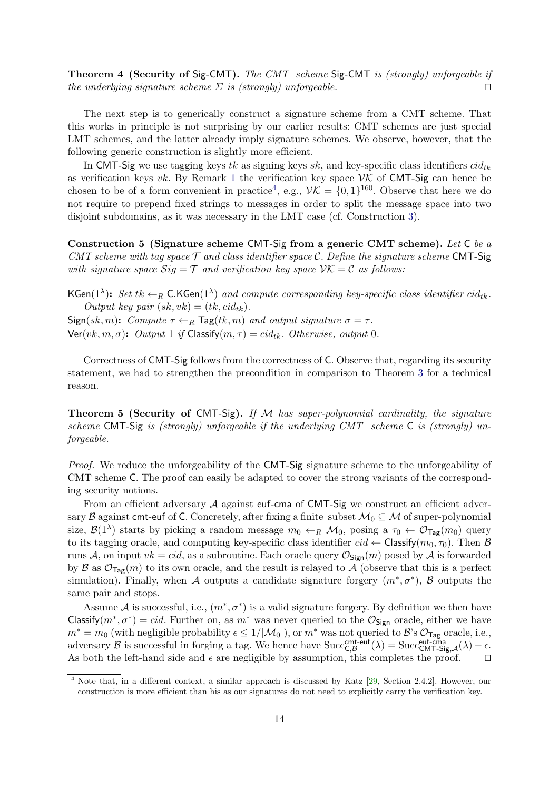Theorem 4 (Security of Sig-CMT). The CMT scheme Sig-CMT is (strongly) unforgeable if the underlying signature scheme  $\Sigma$  is (strongly) unforgeable.  $\square$ 

The next step is to generically construct a signature scheme from a CMT scheme. That this works in principle is not surprising by our earlier results: CMT schemes are just special LMT schemes, and the latter already imply signature schemes. We observe, however, that the following generic construction is slightly more efficient.

In CMT-Sig we use tagging keys tk as signing keys sk, and key-specific class identifiers  $cid_{tk}$ as verification keys vk. By Remark [1](#page-11-1) the verification key space  $VK$  of CMT-Sig can hence be chosen to be of a form convenient in practice<sup>[4](#page-13-1)</sup>, e.g.,  $VK = \{0, 1\}^{160}$ . Observe that here we do not require to prepend fixed strings to messages in order to split the message space into two disjoint subdomains, as it was necessary in the LMT case (cf. Construction [3\)](#page-9-0).

<span id="page-13-0"></span>Construction 5 (Signature scheme CMT-Sig from a generic CMT scheme). Let C be a CMT scheme with tag space  $\mathcal T$  and class identifier space  $\mathcal C$ . Define the signature scheme CMT-Sig with signature space  $\mathcal{S}ig = \mathcal{T}$  and verification key space  $\mathcal{VK} = \mathcal{C}$  as follows:

KGen(1<sup> $\lambda$ </sup>): Set tk  $\leftarrow_R C$ .KGen(1<sup> $\lambda$ </sup>) and compute corresponding key-specific class identifier cid<sub>tk</sub>. Output key pair  $(sk, vk) = (tk, cid_{tk}).$ 

Sign(sk, m): Compute  $\tau \leftarrow_R \text{Tag}(tk, m)$  and output signature  $\sigma = \tau$ .  $\text{Ver}(vk, m, \sigma)$ : Output 1 if Classify $(m, \tau) = cid_{tk}$ . Otherwise, output 0.

Correctness of CMT-Sig follows from the correctness of C. Observe that, regarding its security statement, we had to strengthen the precondition in comparison to Theorem [3](#page-0-0) for a technical reason.

**Theorem 5 (Security of CMT-Sig).** If  $M$  has super-polynomial cardinality, the signature scheme CMT-Sig is (strongly) unforgeable if the underlying CMT scheme C is (strongly) unforgeable.

Proof. We reduce the unforgeability of the CMT-Sig signature scheme to the unforgeability of CMT scheme C. The proof can easily be adapted to cover the strong variants of the corresponding security notions.

From an efficient adversary  $A$  against euf-cma of CMT-Sig we construct an efficient adversary B against cmt-euf of C. Concretely, after fixing a finite subset  $\mathcal{M}_0 \subseteq \mathcal{M}$  of super-polynomial size,  $\mathcal{B}(1^{\lambda})$  starts by picking a random message  $m_0 \leftarrow_R \mathcal{M}_0$ , posing a  $\tau_0 \leftarrow \mathcal{O}_{\text{Tag}}(m_0)$  query to its tagging oracle, and computing key-specific class identifier  $cid \leftarrow \text{Classify}(m_0, \tau_0)$ . Then  $\beta$ runs A, on input  $vk = cid$ , as a subroutine. Each oracle query  $\mathcal{O}_{Sign}(m)$  posed by A is forwarded by B as  $\mathcal{O}_{\mathsf{Tag}}(m)$  to its own oracle, and the result is relayed to A (observe that this is a perfect simulation). Finally, when A outputs a candidate signature forgery  $(m^*, \sigma^*)$ , B outputs the same pair and stops.

Assume A is successful, i.e.,  $(m^*, \sigma^*)$  is a valid signature forgery. By definition we then have Classify $(m^*, \sigma^*) = cid$ . Further on, as  $m^*$  was never queried to the  $\mathcal{O}_{Sign}$  oracle, either we have  $m^* = m_0$  (with negligible probability  $\epsilon \leq 1/|\mathcal{M}_0|$ ), or  $m^*$  was not queried to  $\mathcal{B}$ 's  $\mathcal{O}_{\text{Tag}}$  oracle, i.e., adversary B is successful in forging a tag. We hence have  $Succ_{C,\mathcal{B}}^{cont\text{-}euf}(\lambda) = Succ_{CMT\text{-}Sig,\mathcal{A}}^{euf\text{-}cma}(\lambda) - \epsilon$ . As both the left-hand side and  $\epsilon$  are negligible by assumption, this completes the proof.  $\square$ 

<span id="page-13-1"></span><sup>4</sup> Note that, in a different context, a similar approach is discussed by Katz [\[29,](#page-21-11) Section 2.4.2]. However, our construction is more efficient than his as our signatures do not need to explicitly carry the verification key.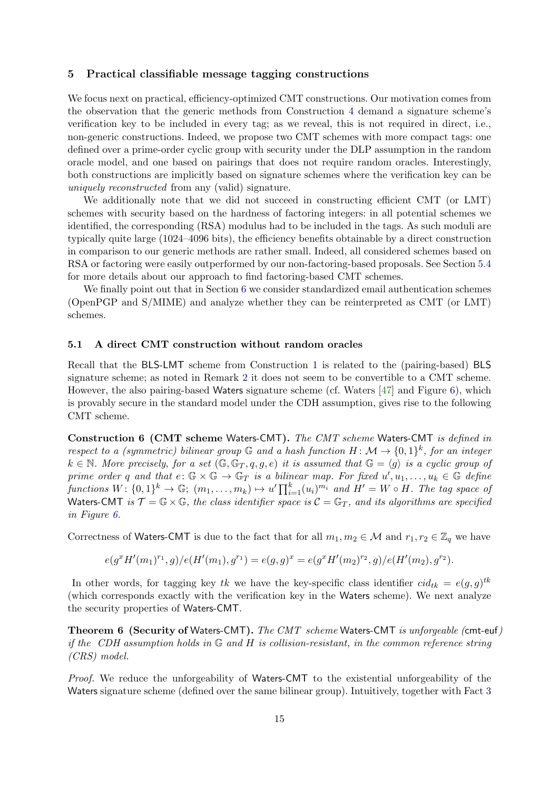## 5 Practical classifiable message tagging constructions

We focus next on practical, efficiency-optimized CMT constructions. Our motivation comes from the observation that the generic methods from Construction [4](#page-12-0) demand a signature scheme's verification key to be included in every tag; as we reveal, this is not required in direct, i.e., non-generic constructions. Indeed, we propose two CMT schemes with more compact tags: one defined over a prime-order cyclic group with security under the DLP assumption in the random oracle model, and one based on pairings that does not require random oracles. Interestingly, both constructions are implicitly based on signature schemes where the verification key can be uniquely reconstructed from any (valid) signature.

We additionally note that we did not succeed in constructing efficient CMT (or LMT) schemes with security based on the hardness of factoring integers: in all potential schemes we identified, the corresponding (RSA) modulus had to be included in the tags. As such moduli are typically quite large (1024–4096 bits), the efficiency benefits obtainable by a direct construction in comparison to our generic methods are rather small. Indeed, all considered schemes based on RSA or factoring were easily outperformed by our non-factoring-based proposals. See Section [5.4](#page-0-0) for more details about our approach to find factoring-based CMT schemes.

We finally point out that in Section [6](#page-0-0) we consider standardized email authentication schemes (OpenPGP and S/MIME) and analyze whether they can be reinterpreted as CMT (or LMT) schemes.

## 5.1 A direct CMT construction without random oracles

Recall that the BLS-LMT scheme from Construction [1](#page-6-0) is related to the (pairing-based) BLS signature scheme; as noted in Remark [2](#page-12-2) it does not seem to be convertible to a CMT scheme. However, the also pairing-based Waters signature scheme (cf. Waters [\[47\]](#page-22-0) and Figure [6\)](#page-0-0), which is provably secure in the standard model under the CDH assumption, gives rise to the following CMT scheme.

<span id="page-14-0"></span>Construction 6 (CMT scheme Waters-CMT). The CMT scheme Waters-CMT is defined in respect to a (symmetric) bilinear group  $\mathbb G$  and a hash function  $H: \mathcal M \to \{0,1\}^k$ , for an integer  $k \in \mathbb{N}$ . More precisely, for a set  $(\mathbb{G}, \mathbb{G}_T, q, g, e)$  it is assumed that  $\mathbb{G} = \langle g \rangle$  is a cyclic group of prime order q and that  $e: \mathbb{G} \times \mathbb{G} \to \mathbb{G}_T$  is a bilinear map. For fixed  $u', u_1, \ldots, u_k \in \mathbb{G}$  define functions  $W: \{0,1\}^k \to \mathbb{G}; (m_1,\ldots,m_k) \mapsto u' \prod_{i=1}^k (u_i)^{m_i}$  and  $H' = W \circ H$ . The tag space of Waters-CMT is  $\mathcal{T} = \mathbb{G} \times \mathbb{G}$ , the class identifier space is  $\mathcal{C} = \mathbb{G}_T$ , and its algorithms are specified in Figure [6.](#page-0-0)

Correctness of Waters-CMT is due to the fact that for all  $m_1, m_2 \in \mathcal{M}$  and  $r_1, r_2 \in \mathbb{Z}_q$  we have

$$
e(g^x H'(m_1)^{r_1}, g)/e(H'(m_1), g^{r_1}) = e(g, g)^x = e(g^x H'(m_2)^{r_2}, g)/e(H'(m_2), g^{r_2}).
$$

In other words, for tagging key tk we have the key-specific class identifier  $cid_{tk} = e(g, g)$ <sup>tk</sup> (which corresponds exactly with the verification key in the Waters scheme). We next analyze the security properties of Waters-CMT.

Theorem 6 (Security of Waters-CMT). The CMT scheme Waters-CMT is unforgeable (cmt-euf) if the CDH assumption holds in  $\mathbb G$  and H is collision-resistant, in the common reference string (CRS) model.

Proof. We reduce the unforgeability of Waters-CMT to the existential unforgeability of the Waters signature scheme (defined over the same bilinear group). Intuitively, together with Fact [3](#page-15-1)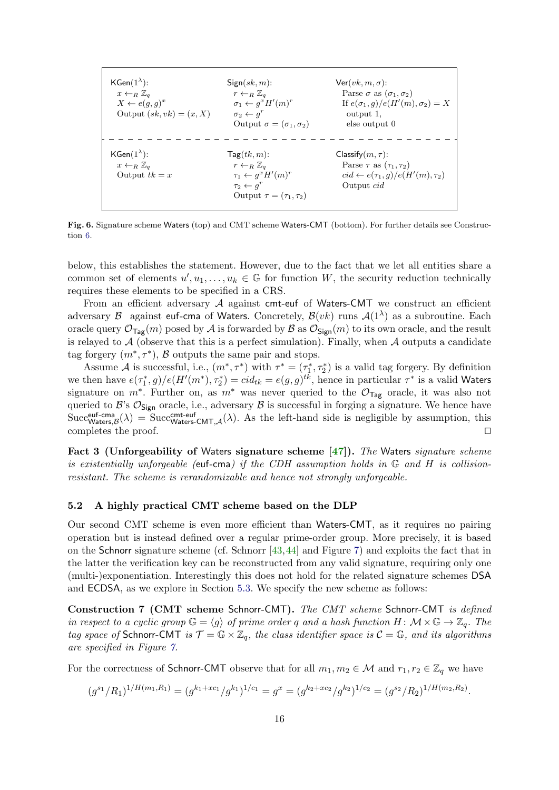$KGen(1^{\lambda})$ :  $x \leftarrow_R \mathbb{Z}_q$  $X \leftarrow e(g, g)^x$ Output  $(sk, vk) = (x, X)$  $Sign(sk, m)$ :  $r \leftarrow_R \mathbb{Z}_q$  $\sigma_1 \leftarrow g^x H'(m)^r$  $\sigma_2 \leftarrow g^r$ Output  $\sigma = (\sigma_1, \sigma_2)$  $\mathsf{Ver}(vk, m, \sigma)$ : Parse  $\sigma$  as  $(\sigma_1, \sigma_2)$ If  $e(\sigma_1, g)/e(H'(m), \sigma_2) = X$ output 1, else output 0  $KGen(1^{\lambda})$ :  $x \leftarrow_R \mathbb{Z}_q$ Output  $tk = x$  $Tag(tk, m)$ :  $r \leftarrow_R \mathbb{Z}_q$  $\tau_1 \leftarrow g^x H'(m)^r$  $\tau_2 \leftarrow g^r$ Output  $\tau = (\tau_1, \tau_2)$ Classify $(m, \tau)$ : Parse  $\tau$  as  $(\tau_1, \tau_2)$  $cid \leftarrow e(\tau_1, g)/e(H'(m), \tau_2)$ Output cid

Fig. 6. Signature scheme Waters (top) and CMT scheme Waters-CMT (bottom). For further details see Construction [6.](#page-14-0)

below, this establishes the statement. However, due to the fact that we let all entities share a common set of elements  $u', u_1, \ldots, u_k \in \mathbb{G}$  for function W, the security reduction technically requires these elements to be specified in a CRS.

From an efficient adversary  $A$  against cmt-euf of Waters-CMT we construct an efficient adversary  $\beta$  against euf-cma of Waters. Concretely,  $\mathcal{B}(vk)$  runs  $\mathcal{A}(1^{\lambda})$  as a subroutine. Each oracle query  $\mathcal{O}_{\text{Tag}}(m)$  posed by  $\mathcal A$  is forwarded by  $\mathcal B$  as  $\mathcal{O}_{\text{Sign}}(m)$  to its own oracle, and the result is relayed to  $A$  (observe that this is a perfect simulation). Finally, when  $A$  outputs a candidate tag forgery  $(m^*, \tau^*)$ ,  $\beta$  outputs the same pair and stops.

Assume A is successful, i.e.,  $(m^*, \tau^*)$  with  $\tau^* = (\tau_1^*, \tau_2^*)$  is a valid tag forgery. By definition we then have  $e(\tau_1^*,g)/e(H'(m^*),\tau_2^*)=cid_{tk}=e(g,g)^{tk}$ , hence in particular  $\tau^*$  is a valid Waters signature on  $m^*$ . Further on, as  $m^*$  was never queried to the  $\mathcal{O}_{\text{Tag}}$  oracle, it was also not queried to  $\mathcal{B}$ 's  $\mathcal{O}_{Sign}$  oracle, i.e., adversary  $\mathcal{B}$  is successful in forging a signature. We hence have  $Succ_{Waters,B}^{euf-cma}(\lambda) = Succ_{Waters-CMT,\mathcal{A}}^{CML}(\lambda)$ . As the left-hand side is negligible by assumption, this completes the proof.  $\Box$ 

<span id="page-15-1"></span>Fact 3 (Unforgeability of Waters signature scheme [\[47\]](#page-22-0)). The Waters signature scheme is existentially unforgeable (euf-cma) if the CDH assumption holds in  $\mathbb G$  and  $H$  is collisionresistant. The scheme is rerandomizable and hence not strongly unforgeable.

#### 5.2 A highly practical CMT scheme based on the DLP

Our second CMT scheme is even more efficient than Waters-CMT, as it requires no pairing operation but is instead defined over a regular prime-order group. More precisely, it is based on the Schnorr signature scheme (cf. Schnorr [\[43,](#page-21-12)[44\]](#page-21-13) and Figure [7\)](#page-0-0) and exploits the fact that in the latter the verification key can be reconstructed from any valid signature, requiring only one (multi-)exponentiation. Interestingly this does not hold for the related signature schemes DSA and ECDSA, as we explore in Section [5.3.](#page-0-0) We specify the new scheme as follows:

<span id="page-15-0"></span>Construction 7 (CMT scheme Schnorr-CMT). The CMT scheme Schnorr-CMT is defined in respect to a cyclic group  $\mathbb{G} = \langle g \rangle$  of prime order q and a hash function  $H : \mathcal{M} \times \mathbb{G} \to \mathbb{Z}_q$ . The tag space of Schnorr-CMT is  $\mathcal{T} = \mathbb{G} \times \mathbb{Z}_q$ , the class identifier space is  $\mathcal{C} = \mathbb{G}$ , and its algorithms are specified in Figure [7.](#page-0-0)

For the correctness of Schnorr-CMT observe that for all  $m_1, m_2 \in \mathcal{M}$  and  $r_1, r_2 \in \mathbb{Z}_q$  we have

$$
(g^{s_1}/R_1)^{1/H(m_1,R_1)} = (g^{k_1+xc_1}/g^{k_1})^{1/c_1} = g^x = (g^{k_2+xc_2}/g^{k_2})^{1/c_2} = (g^{s_2}/R_2)^{1/H(m_2,R_2)}.
$$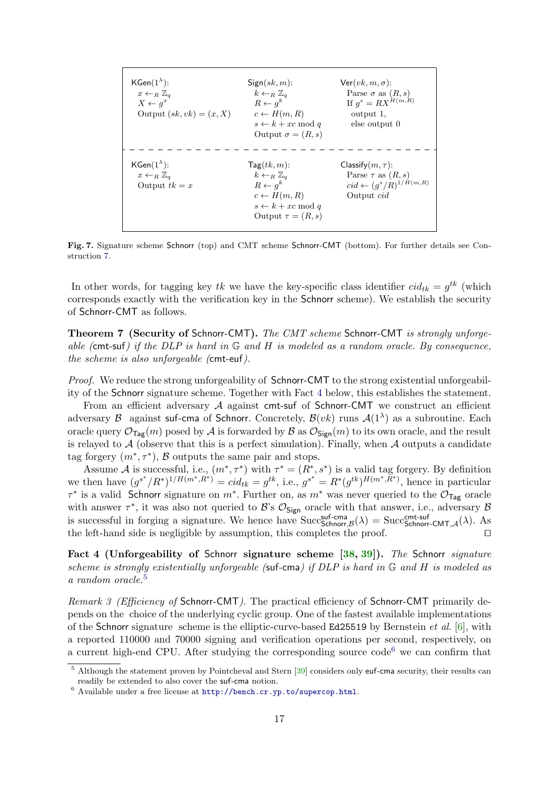$$
\begin{array}{|c|c|} \hline \text{KGen}(1^{\lambda}) : & \text{Sign}(sk, m): & \text{Ver}(vk, m, \sigma): \\ x \leftarrow_R \mathbb{Z}_q & k \leftarrow_R \mathbb{Z}_q & \text{Parse } \sigma \text{ as } (R, s) \\ X \leftarrow g^x & R \leftarrow g^k & \text{If } g^s = RX^{H(m, R)} \\ \hline \text{Output } (sk, vk) = (x, X) & c \leftarrow H(m, R) & \text{output } 1, \\ s \leftarrow k + xc \bmod q & \text{else output } 0 \\ \hline \text{Output } \sigma = (R, s) \\ \hline \text{KGen}(1^{\lambda}): & \text{Tag}(tk, m): & \text{Classify}(m, \tau): \\ x \leftarrow_R \mathbb{Z}_q & k \leftarrow_R \mathbb{Z}_q & \text{Parse } \tau \text{ as } (R, s) \\ \hline \text{Output } tk = x & R \leftarrow g^k & \text{cid } \leftarrow (g^s/R)^{1/H(m, R)} \\ s \leftarrow k + xc \bmod q & \text{Output } cd \\ s \leftarrow k + xc \bmod q & \text{Output } \tau = (R, s) \\ \hline \end{array}
$$

Fig. 7. Signature scheme Schnorr (top) and CMT scheme Schnorr-CMT (bottom). For further details see Construction [7.](#page-15-0)

In other words, for tagging key tk we have the key-specific class identifier  $cid_{tk} = g^{tk}$  (which corresponds exactly with the verification key in the Schnorr scheme). We establish the security of Schnorr-CMT as follows.

Theorem 7 (Security of Schnorr-CMT). The CMT scheme Schnorr-CMT is strongly unforgeable ( $c$ mt-suf) if the DLP is hard in  $G$  and  $H$  is modeled as a random oracle. By consequence, the scheme is also unforgeable (cmt-euf).

Proof. We reduce the strong unforgeability of Schnorr-CMT to the strong existential unforgeability of the Schnorr signature scheme. Together with Fact [4](#page-16-0) below, this establishes the statement.

From an efficient adversary  $A$  against cmt-suf of Schnorr-CMT we construct an efficient adversary  $\beta$  against suf-cma of Schnorr. Concretely,  $\mathcal{B}(vk)$  runs  $\mathcal{A}(1^{\lambda})$  as a subroutine. Each oracle query  $\mathcal{O}_{\text{Tag}}(m)$  posed by A is forwarded by B as  $\mathcal{O}_{\text{Sign}}(m)$  to its own oracle, and the result is relayed to  $A$  (observe that this is a perfect simulation). Finally, when  $A$  outputs a candidate tag forgery  $(m^*, \tau^*)$ ,  $\beta$  outputs the same pair and stops.

Assume A is successful, i.e.,  $(m^*, \tau^*)$  with  $\tau^* = (R^*, s^*)$  is a valid tag forgery. By definition we then have  $(g^{s^*}/R^*)^{1/H(m^*,R^*)} = cid_{tk} = g^{tk}$ , i.e.,  $g^{s^*} = R^*(g^{tk})^{H(m^*,\bar{R}^*)}$ , hence in particular  $\tau^*$  is a valid Schnorr signature on  $m^*$ . Further on, as  $m^*$  was never queried to the  $\mathcal{O}_{\text{Tag}}$  oracle with answer  $\tau^*$ , it was also not queried to  $\mathcal{B}$ 's  $\mathcal{O}_{Sign}$  oracle with that answer, i.e., adversary  $\mathcal{B}$ is successful in forging a signature. We hence have  $Succ^{\text{surf-cma}}_{\text{Schnorr},\mathcal{B}}(\lambda) = Succ^{\text{cmt-suf}}_{\text{Schnorr}-\text{CMT},\mathcal{A}}(\lambda)$ . As the left-hand side is negligible by assumption, this completes the proof.  $\square$ 

<span id="page-16-0"></span>Fact 4 (Unforgeability of Schnorr signature scheme [\[38,](#page-21-14) [39\]](#page-21-15)). The Schnorr signature scheme is strongly existentially unforgeable (suf-cma) if DLP is hard in G and H is modeled as a random oracle.[5](#page-16-1)

Remark 3 (Efficiency of Schnorr-CMT). The practical efficiency of Schnorr-CMT primarily depends on the choice of the underlying cyclic group. One of the fastest available implementations of the Schnorr signature scheme is the elliptic-curve-based Ed25519 by Bernstein *et al.* [\[6\]](#page-20-8), with a reported 110000 and 70000 signing and verification operations per second, respectively, on a current high-end CPU. After studying the corresponding source  $\c{code}^6$  $\c{code}^6$  we can confirm that

<span id="page-16-1"></span> $<sup>5</sup>$  Although the statement proven by Pointcheval and Stern [\[39\]](#page-21-15) considers only euf-cma security, their results can</sup> readily be extended to also cover the suf-cma notion.

<span id="page-16-2"></span><sup>6</sup> Available under a free license at <http://bench.cr.yp.to/supercop.html>.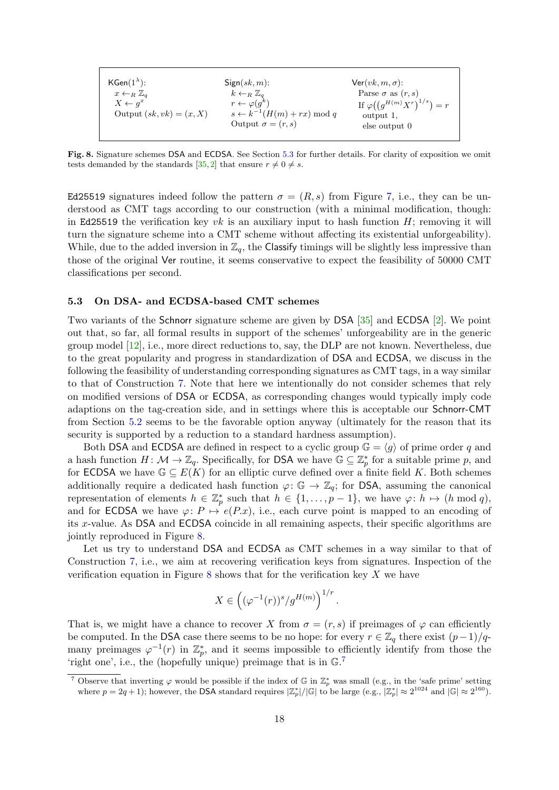| $KGen(1^{\lambda})$ :<br>$Sign(sk, m)$ :<br>$x \leftarrow_R \mathbb{Z}_a$<br>$k \leftarrow_R \mathbb{Z}_a$<br>$r \leftarrow \varphi(q^k)$<br>$X \leftarrow q^x$<br>$s \leftarrow k^{-1}(H(m) + rx) \bmod q$<br>Output $(sk, vk) = (x, X)$<br>Output $\sigma = (r, s)$ | $\mathsf{Ver}(vk, m, \sigma)$ :<br>Parse $\sigma$ as $(r, s)$<br>If $\varphi((g^{H(m)}X^r)^{1/s}) = r$<br>output 1,<br>else output 0 |
|-----------------------------------------------------------------------------------------------------------------------------------------------------------------------------------------------------------------------------------------------------------------------|--------------------------------------------------------------------------------------------------------------------------------------|
|-----------------------------------------------------------------------------------------------------------------------------------------------------------------------------------------------------------------------------------------------------------------------|--------------------------------------------------------------------------------------------------------------------------------------|

Fig. 8. Signature schemes DSA and ECDSA. See Section [5.3](#page-0-0) for further details. For clarity of exposition we omit tests demanded by the standards [\[35,](#page-21-2) [2\]](#page-20-9) that ensure  $r \neq 0 \neq s$ .

Ed25519 signatures indeed follow the pattern  $\sigma = (R, s)$  from Figure [7,](#page-0-0) i.e., they can be understood as CMT tags according to our construction (with a minimal modification, though: in Ed25519 the verification key vk is an auxiliary input to hash function  $H$ ; removing it will turn the signature scheme into a CMT scheme without affecting its existential unforgeability). While, due to the added inversion in  $\mathbb{Z}_q$ , the Classify timings will be slightly less impressive than those of the original Ver routine, it seems conservative to expect the feasibility of 50000 CMT classifications per second.

### 5.3 On DSA- and ECDSA-based CMT schemes

Two variants of the Schnorr signature scheme are given by DSA [\[35\]](#page-21-2) and ECDSA [\[2\]](#page-20-9). We point out that, so far, all formal results in support of the schemes' unforgeability are in the generic group model [\[12\]](#page-20-10), i.e., more direct reductions to, say, the DLP are not known. Nevertheless, due to the great popularity and progress in standardization of DSA and ECDSA, we discuss in the following the feasibility of understanding corresponding signatures as CMT tags, in a way similar to that of Construction [7.](#page-15-0) Note that here we intentionally do not consider schemes that rely on modified versions of DSA or ECDSA, as corresponding changes would typically imply code adaptions on the tag-creation side, and in settings where this is acceptable our Schnorr-CMT from Section [5.2](#page-0-0) seems to be the favorable option anyway (ultimately for the reason that its security is supported by a reduction to a standard hardness assumption).

Both DSA and ECDSA are defined in respect to a cyclic group  $\mathbb{G} = \langle g \rangle$  of prime order q and a hash function  $H: \mathcal{M} \to \mathbb{Z}_q$ . Specifically, for DSA we have  $\mathbb{G} \subseteq \mathbb{Z}_p^*$  for a suitable prime p, and for **ECDSA** we have  $\mathbb{G} \subseteq E(K)$  for an elliptic curve defined over a finite field K. Both schemes additionally require a dedicated hash function  $\varphi: \mathbb{G} \to \mathbb{Z}_q$ ; for DSA, assuming the canonical representation of elements  $h \in \mathbb{Z}_p^*$  such that  $h \in \{1, \ldots, p-1\}$ , we have  $\varphi: h \mapsto (h \mod q)$ , and for **ECDSA** we have  $\varphi: P \mapsto e(P.x)$ , i.e., each curve point is mapped to an encoding of its x-value. As DSA and ECDSA coincide in all remaining aspects, their specific algorithms are jointly reproduced in Figure [8.](#page-0-0)

Let us try to understand DSA and ECDSA as CMT schemes in a way similar to that of Construction [7,](#page-15-0) i.e., we aim at recovering verification keys from signatures. Inspection of the verification equation in Figure [8](#page-0-0) shows that for the verification key  $X$  we have

$$
X \in \left( (\varphi^{-1}(r))^s / g^{H(m)} \right)^{1/r}.
$$

That is, we might have a chance to recover X from  $\sigma = (r, s)$  if preimages of  $\varphi$  can efficiently be computed. In the DSA case there seems to be no hope: for every  $r \in \mathbb{Z}_q$  there exist  $(p-1)/q$ many preimages  $\varphi^{-1}(r)$  in  $\mathbb{Z}_p^*$ , and it seems impossible to efficiently identify from those the 'right one', i.e., the (hopefully unique) preimage that is in  $\mathbb{G}$ .

<span id="page-17-0"></span><sup>&</sup>lt;sup>7</sup> Observe that inverting  $\varphi$  would be possible if the index of  $\mathbb{G}$  in  $\mathbb{Z}_p^*$  was small (e.g., in the 'safe prime' setting where  $p = 2q + 1$ ; however, the DSA standard requires  $|\mathbb{Z}_p^*|/|\mathbb{G}|$  to be large (e.g.,  $|\mathbb{Z}_p^*| \approx 2^{1024}$  and  $|\mathbb{G}| \approx 2^{160}$ ).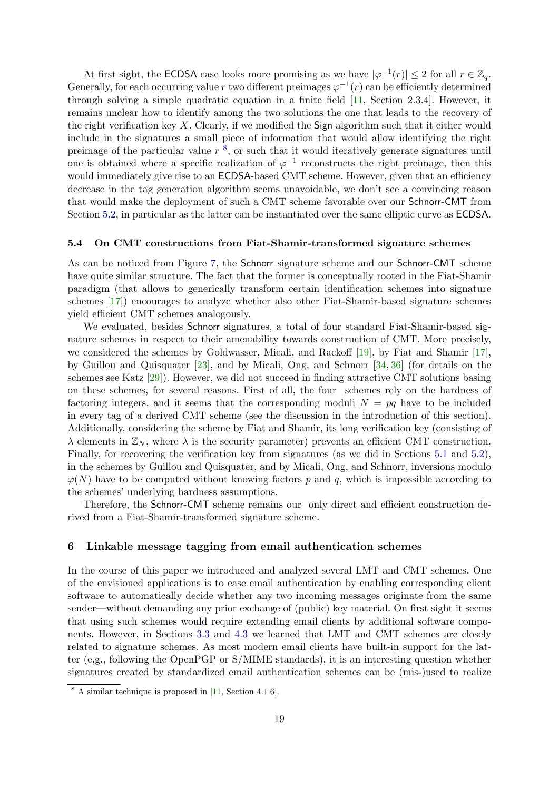At first sight, the **ECDSA** case looks more promising as we have  $|\varphi^{-1}(r)| \leq 2$  for all  $r \in \mathbb{Z}_q$ . Generally, for each occurring value r two different preimages  $\varphi^{-1}(r)$  can be efficiently determined through solving a simple quadratic equation in a finite field [\[11,](#page-20-11) Section 2.3.4]. However, it remains unclear how to identify among the two solutions the one that leads to the recovery of the right verification key X. Clearly, if we modified the Sign algorithm such that it either would include in the signatures a small piece of information that would allow identifying the right preimage of the particular value  $r<sup>8</sup>$  $r<sup>8</sup>$  $r<sup>8</sup>$ , or such that it would iteratively generate signatures until one is obtained where a specific realization of  $\varphi^{-1}$  reconstructs the right preimage, then this would immediately give rise to an **ECDSA**-based CMT scheme. However, given that an efficiency decrease in the tag generation algorithm seems unavoidable, we don't see a convincing reason that would make the deployment of such a CMT scheme favorable over our Schnorr-CMT from Section [5.2,](#page-0-0) in particular as the latter can be instantiated over the same elliptic curve as ECDSA.

#### 5.4 On CMT constructions from Fiat-Shamir-transformed signature schemes

As can be noticed from Figure [7,](#page-0-0) the Schnorr signature scheme and our Schnorr-CMT scheme have quite similar structure. The fact that the former is conceptually rooted in the Fiat-Shamir paradigm (that allows to generically transform certain identification schemes into signature schemes [\[17\]](#page-21-16)) encourages to analyze whether also other Fiat-Shamir-based signature schemes yield efficient CMT schemes analogously.

We evaluated, besides Schnorr signatures, a total of four standard Fiat-Shamir-based signature schemes in respect to their amenability towards construction of CMT. More precisely, we considered the schemes by Goldwasser, Micali, and Rackoff [\[19\]](#page-21-17), by Fiat and Shamir [\[17\]](#page-21-16), by Guillou and Quisquater [\[23\]](#page-21-18), and by Micali, Ong, and Schnorr [\[34,](#page-21-19) [36\]](#page-21-20) (for details on the schemes see Katz [\[29\]](#page-21-11)). However, we did not succeed in finding attractive CMT solutions basing on these schemes, for several reasons. First of all, the four schemes rely on the hardness of factoring integers, and it seems that the corresponding moduli  $N = pq$  have to be included in every tag of a derived CMT scheme (see the discussion in the introduction of this section). Additionally, considering the scheme by Fiat and Shamir, its long verification key (consisting of  $\lambda$  elements in  $\mathbb{Z}_N$ , where  $\lambda$  is the security parameter) prevents an efficient CMT construction. Finally, for recovering the verification key from signatures (as we did in Sections [5.1](#page-0-0) and [5.2\)](#page-0-0), in the schemes by Guillou and Quisquater, and by Micali, Ong, and Schnorr, inversions modulo  $\varphi(N)$  have to be computed without knowing factors p and q, which is impossible according to the schemes' underlying hardness assumptions.

Therefore, the Schnorr-CMT scheme remains our only direct and efficient construction derived from a Fiat-Shamir-transformed signature scheme.

#### 6 Linkable message tagging from email authentication schemes

In the course of this paper we introduced and analyzed several LMT and CMT schemes. One of the envisioned applications is to ease email authentication by enabling corresponding client software to automatically decide whether any two incoming messages originate from the same sender—without demanding any prior exchange of (public) key material. On first sight it seems that using such schemes would require extending email clients by additional software components. However, in Sections [3.3](#page-0-0) and [4.3](#page-0-0) we learned that LMT and CMT schemes are closely related to signature schemes. As most modern email clients have built-in support for the latter (e.g., following the OpenPGP or S/MIME standards), it is an interesting question whether signatures created by standardized email authentication schemes can be (mis-)used to realize

<span id="page-18-0"></span><sup>8</sup> A similar technique is proposed in [\[11,](#page-20-11) Section 4.1.6].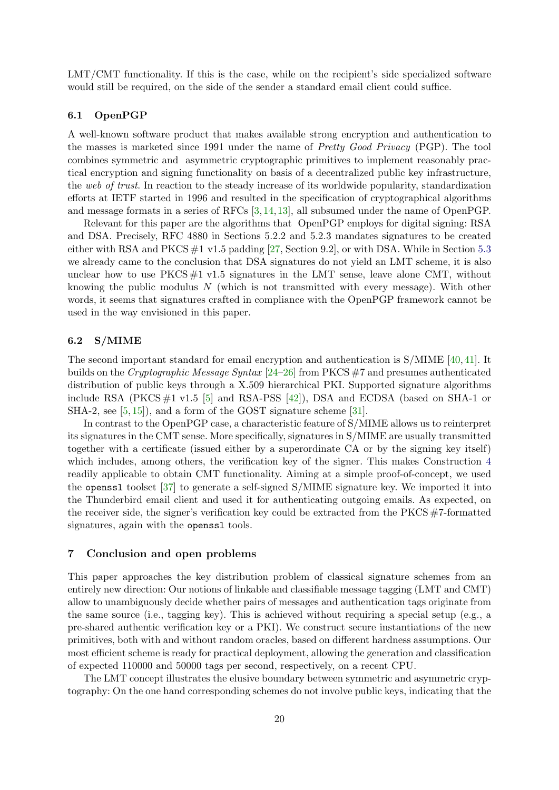LMT/CMT functionality. If this is the case, while on the recipient's side specialized software would still be required, on the side of the sender a standard email client could suffice.

#### 6.1 OpenPGP

A well-known software product that makes available strong encryption and authentication to the masses is marketed since 1991 under the name of Pretty Good Privacy (PGP). The tool combines symmetric and asymmetric cryptographic primitives to implement reasonably practical encryption and signing functionality on basis of a decentralized public key infrastructure, the web of trust. In reaction to the steady increase of its worldwide popularity, standardization efforts at IETF started in 1996 and resulted in the specification of cryptographical algorithms and message formats in a series of RFCs [\[3,](#page-20-12)[14,](#page-20-13)[13\]](#page-20-2), all subsumed under the name of OpenPGP.

Relevant for this paper are the algorithms that OpenPGP employs for digital signing: RSA and DSA. Precisely, RFC 4880 in Sections 5.2.2 and 5.2.3 mandates signatures to be created either with RSA and PKCS  $\#1$  v1.5 padding [\[27,](#page-21-21) Section 9.2], or with DSA. While in Section [5.3](#page-0-0) we already came to the conclusion that DSA signatures do not yield an LMT scheme, it is also unclear how to use  $PKCS#1$  v1.5 signatures in the LMT sense, leave alone CMT, without knowing the public modulus  $N$  (which is not transmitted with every message). With other words, it seems that signatures crafted in compliance with the OpenPGP framework cannot be used in the way envisioned in this paper.

#### 6.2 S/MIME

The second important standard for email encryption and authentication is S/MIME [\[40,](#page-21-22)[41\]](#page-21-23). It builds on the Cryptographic Message Syntax [\[24–](#page-21-24)[26\]](#page-21-25) from PKCS #7 and presumes authenticated distribution of public keys through a X.509 hierarchical PKI. Supported signature algorithms include RSA (PKCS  $\#1$  v1.5 [\[5\]](#page-20-14) and RSA-PSS [\[42\]](#page-21-26)), DSA and ECDSA (based on SHA-1 or SHA-2, see [\[5,](#page-20-14) [15\]](#page-20-15)), and a form of the GOST signature scheme [\[31\]](#page-21-27).

In contrast to the OpenPGP case, a characteristic feature of S/MIME allows us to reinterpret its signatures in the CMT sense. More specifically, signatures in S/MIME are usually transmitted together with a certificate (issued either by a superordinate CA or by the signing key itself) which includes, among others, the verification key of the signer. This makes Construction [4](#page-12-0) readily applicable to obtain CMT functionality. Aiming at a simple proof-of-concept, we used the openssl toolset [\[37\]](#page-21-28) to generate a self-signed S/MIME signature key. We imported it into the Thunderbird email client and used it for authenticating outgoing emails. As expected, on the receiver side, the signer's verification key could be extracted from the PKCS #7-formatted signatures, again with the openss1 tools.

## 7 Conclusion and open problems

This paper approaches the key distribution problem of classical signature schemes from an entirely new direction: Our notions of linkable and classifiable message tagging (LMT and CMT) allow to unambiguously decide whether pairs of messages and authentication tags originate from the same source (i.e., tagging key). This is achieved without requiring a special setup (e.g., a pre-shared authentic verification key or a PKI). We construct secure instantiations of the new primitives, both with and without random oracles, based on different hardness assumptions. Our most efficient scheme is ready for practical deployment, allowing the generation and classification of expected 110000 and 50000 tags per second, respectively, on a recent CPU.

The LMT concept illustrates the elusive boundary between symmetric and asymmetric cryptography: On the one hand corresponding schemes do not involve public keys, indicating that the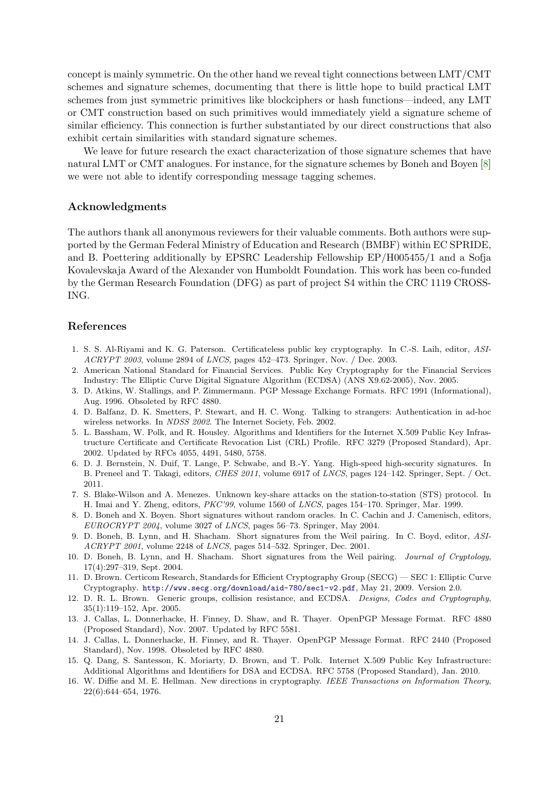concept is mainly symmetric. On the other hand we reveal tight connections between LMT/CMT schemes and signature schemes, documenting that there is little hope to build practical LMT schemes from just symmetric primitives like blockciphers or hash functions—indeed, any LMT or CMT construction based on such primitives would immediately yield a signature scheme of similar efficiency. This connection is further substantiated by our direct constructions that also exhibit certain similarities with standard signature schemes.

We leave for future research the exact characterization of those signature schemes that have natural LMT or CMT analogues. For instance, for the signature schemes by Boneh and Boyen [\[8\]](#page-20-1) we were not able to identify corresponding message tagging schemes.

### Acknowledgments

The authors thank all anonymous reviewers for their valuable comments. Both authors were supported by the German Federal Ministry of Education and Research (BMBF) within EC SPRIDE, and B. Poettering additionally by EPSRC Leadership Fellowship EP/H005455/1 and a Sofja Kovalevskaja Award of the Alexander von Humboldt Foundation. This work has been co-funded by the German Research Foundation (DFG) as part of project S4 within the CRC 1119 CROSS-ING.

## References

- <span id="page-20-5"></span>1. S. S. Al-Riyami and K. G. Paterson. Certificateless public key cryptography. In C.-S. Laih, editor, ASI-ACRYPT 2003, volume 2894 of LNCS, pages 452–473. Springer, Nov. / Dec. 2003.
- <span id="page-20-9"></span>2. American National Standard for Financial Services. Public Key Cryptography for the Financial Services Industry: The Elliptic Curve Digital Signature Algorithm (ECDSA) (ANS X9.62-2005), Nov. 2005.
- <span id="page-20-12"></span>3. D. Atkins, W. Stallings, and P. Zimmermann. PGP Message Exchange Formats. RFC 1991 (Informational), Aug. 1996. Obsoleted by RFC 4880.
- <span id="page-20-6"></span>4. D. Balfanz, D. K. Smetters, P. Stewart, and H. C. Wong. Talking to strangers: Authentication in ad-hoc wireless networks. In NDSS 2002. The Internet Society, Feb. 2002.
- <span id="page-20-14"></span>5. L. Bassham, W. Polk, and R. Housley. Algorithms and Identifiers for the Internet X.509 Public Key Infrastructure Certificate and Certificate Revocation List (CRL) Profile. RFC 3279 (Proposed Standard), Apr. 2002. Updated by RFCs 4055, 4491, 5480, 5758.
- <span id="page-20-8"></span>6. D. J. Bernstein, N. Duif, T. Lange, P. Schwabe, and B.-Y. Yang. High-speed high-security signatures. In B. Preneel and T. Takagi, editors, CHES 2011, volume 6917 of LNCS, pages 124–142. Springer, Sept. / Oct. 2011.
- <span id="page-20-3"></span>7. S. Blake-Wilson and A. Menezes. Unknown key-share attacks on the station-to-station (STS) protocol. In H. Imai and Y. Zheng, editors, PKC'99, volume 1560 of LNCS, pages 154–170. Springer, Mar. 1999.
- <span id="page-20-1"></span>8. D. Boneh and X. Boyen. Short signatures without random oracles. In C. Cachin and J. Camenisch, editors, EUROCRYPT 2004, volume 3027 of LNCS, pages 56–73. Springer, May 2004.
- <span id="page-20-0"></span>9. D. Boneh, B. Lynn, and H. Shacham. Short signatures from the Weil pairing. In C. Boyd, editor, ASI-ACRYPT 2001, volume 2248 of LNCS, pages 514–532. Springer, Dec. 2001.
- <span id="page-20-7"></span>10. D. Boneh, B. Lynn, and H. Shacham. Short signatures from the Weil pairing. Journal of Cryptology, 17(4):297–319, Sept. 2004.
- <span id="page-20-11"></span>11. D. Brown. Certicom Research, Standards for Efficient Cryptography Group (SECG) — SEC 1: Elliptic Curve Cryptography. <http://www.secg.org/download/aid-780/sec1-v2.pdf>, May 21, 2009. Version 2.0.
- <span id="page-20-10"></span>12. D. R. L. Brown. Generic groups, collision resistance, and ECDSA. Designs, Codes and Cryptography, 35(1):119–152, Apr. 2005.
- <span id="page-20-2"></span>13. J. Callas, L. Donnerhacke, H. Finney, D. Shaw, and R. Thayer. OpenPGP Message Format. RFC 4880 (Proposed Standard), Nov. 2007. Updated by RFC 5581.
- <span id="page-20-13"></span>14. J. Callas, L. Donnerhacke, H. Finney, and R. Thayer. OpenPGP Message Format. RFC 2440 (Proposed Standard), Nov. 1998. Obsoleted by RFC 4880.
- <span id="page-20-15"></span>15. Q. Dang, S. Santesson, K. Moriarty, D. Brown, and T. Polk. Internet X.509 Public Key Infrastructure: Additional Algorithms and Identifiers for DSA and ECDSA. RFC 5758 (Proposed Standard), Jan. 2010.
- <span id="page-20-4"></span>16. W. Diffie and M. E. Hellman. New directions in cryptography. IEEE Transactions on Information Theory, 22(6):644–654, 1976.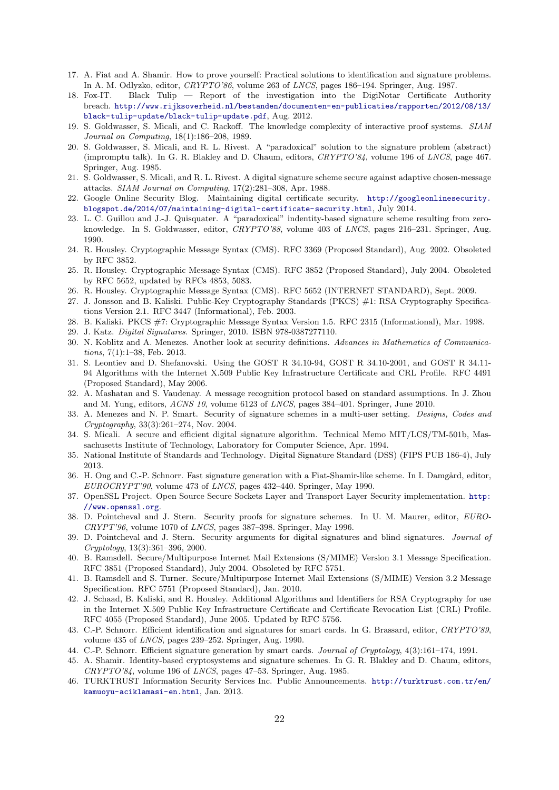- <span id="page-21-16"></span>17. A. Fiat and A. Shamir. How to prove yourself: Practical solutions to identification and signature problems. In A. M. Odlyzko, editor, CRYPTO'86, volume 263 of LNCS, pages 186–194. Springer, Aug. 1987.
- <span id="page-21-4"></span>18. Fox-IT. Black Tulip — Report of the investigation into the DigiNotar Certificate Authority breach. [http://www.rijksoverheid.nl/bestanden/documenten-en-publicaties/rapporten/2012/08/13/](http://www.rijksoverheid.nl/bestanden/documenten-en-publicaties/rapporten/2012/08/13/black-tulip-update/black-tulip-update.pdf) [black-tulip-update/black-tulip-update.pdf](http://www.rijksoverheid.nl/bestanden/documenten-en-publicaties/rapporten/2012/08/13/black-tulip-update/black-tulip-update.pdf), Aug. 2012.
- <span id="page-21-17"></span>19. S. Goldwasser, S. Micali, and C. Rackoff. The knowledge complexity of interactive proof systems. SIAM Journal on Computing, 18(1):186–208, 1989.
- <span id="page-21-0"></span>20. S. Goldwasser, S. Micali, and R. L. Rivest. A "paradoxical" solution to the signature problem (abstract) (impromptu talk). In G. R. Blakley and D. Chaum, editors, CRYPTO'84, volume 196 of LNCS, page 467. Springer, Aug. 1985.
- <span id="page-21-1"></span>21. S. Goldwasser, S. Micali, and R. L. Rivest. A digital signature scheme secure against adaptive chosen-message attacks. SIAM Journal on Computing, 17(2):281–308, Apr. 1988.
- <span id="page-21-6"></span>22. Google Online Security Blog. Maintaining digital certificate security. [http://googleonlinesecurity.](http://googleonlinesecurity.blogspot.de/2014/07/maintaining-digital-certificate-security.html) [blogspot.de/2014/07/maintaining-digital-certificate-security.html](http://googleonlinesecurity.blogspot.de/2014/07/maintaining-digital-certificate-security.html), July 2014.
- <span id="page-21-18"></span>23. L. C. Guillou and J.-J. Quisquater. A "paradoxical" indentity-based signature scheme resulting from zeroknowledge. In S. Goldwasser, editor, CRYPTO'88, volume 403 of LNCS, pages 216–231. Springer, Aug. 1990.
- <span id="page-21-24"></span>24. R. Housley. Cryptographic Message Syntax (CMS). RFC 3369 (Proposed Standard), Aug. 2002. Obsoleted by RFC 3852.
- 25. R. Housley. Cryptographic Message Syntax (CMS). RFC 3852 (Proposed Standard), July 2004. Obsoleted by RFC 5652, updated by RFCs 4853, 5083.
- <span id="page-21-25"></span>26. R. Housley. Cryptographic Message Syntax (CMS). RFC 5652 (INTERNET STANDARD), Sept. 2009.
- <span id="page-21-21"></span>27. J. Jonsson and B. Kaliski. Public-Key Cryptography Standards (PKCS) #1: RSA Cryptography Specifications Version 2.1. RFC 3447 (Informational), Feb. 2003.
- <span id="page-21-3"></span>28. B. Kaliski. PKCS #7: Cryptographic Message Syntax Version 1.5. RFC 2315 (Informational), Mar. 1998.
- <span id="page-21-11"></span>29. J. Katz. Digital Signatures. Springer, 2010. ISBN 978-0387277110.
- <span id="page-21-8"></span>30. N. Koblitz and A. Menezes. Another look at security definitions. Advances in Mathematics of Communications, 7(1):1–38, Feb. 2013.
- <span id="page-21-27"></span>31. S. Leontiev and D. Shefanovski. Using the GOST R 34.10-94, GOST R 34.10-2001, and GOST R 34.11- 94 Algorithms with the Internet X.509 Public Key Infrastructure Certificate and CRL Profile. RFC 4491 (Proposed Standard), May 2006.
- <span id="page-21-10"></span>32. A. Mashatan and S. Vaudenay. A message recognition protocol based on standard assumptions. In J. Zhou and M. Yung, editors, ACNS 10, volume 6123 of LNCS, pages 384–401. Springer, June 2010.
- <span id="page-21-7"></span>33. A. Menezes and N. P. Smart. Security of signature schemes in a multi-user setting. Designs, Codes and Cryptography, 33(3):261–274, Nov. 2004.
- <span id="page-21-19"></span>34. S. Micali. A secure and efficient digital signature algorithm. Technical Memo MIT/LCS/TM-501b, Massachusetts Institute of Technology, Laboratory for Computer Science, Apr. 1994.
- <span id="page-21-2"></span>35. National Institute of Standards and Technology. Digital Signature Standard (DSS) (FIPS PUB 186-4), July 2013.
- <span id="page-21-20"></span>36. H. Ong and C.-P. Schnorr. Fast signature generation with a Fiat-Shamir-like scheme. In I. Damgård, editor, EUROCRYPT'90, volume 473 of LNCS, pages 432–440. Springer, May 1990.
- <span id="page-21-28"></span>37. OpenSSL Project. Open Source Secure Sockets Layer and Transport Layer Security implementation. [http:](http://www.openssl.org) [//www.openssl.org](http://www.openssl.org).
- <span id="page-21-14"></span>38. D. Pointcheval and J. Stern. Security proofs for signature schemes. In U. M. Maurer, editor, EURO-CRYPT'96, volume 1070 of LNCS, pages 387–398. Springer, May 1996.
- <span id="page-21-15"></span>39. D. Pointcheval and J. Stern. Security arguments for digital signatures and blind signatures. Journal of Cryptology, 13(3):361–396, 2000.
- <span id="page-21-22"></span>40. B. Ramsdell. Secure/Multipurpose Internet Mail Extensions (S/MIME) Version 3.1 Message Specification. RFC 3851 (Proposed Standard), July 2004. Obsoleted by RFC 5751.
- <span id="page-21-23"></span>41. B. Ramsdell and S. Turner. Secure/Multipurpose Internet Mail Extensions (S/MIME) Version 3.2 Message Specification. RFC 5751 (Proposed Standard), Jan. 2010.
- <span id="page-21-26"></span>42. J. Schaad, B. Kaliski, and R. Housley. Additional Algorithms and Identifiers for RSA Cryptography for use in the Internet X.509 Public Key Infrastructure Certificate and Certificate Revocation List (CRL) Profile. RFC 4055 (Proposed Standard), June 2005. Updated by RFC 5756.
- <span id="page-21-12"></span>43. C.-P. Schnorr. Efficient identification and signatures for smart cards. In G. Brassard, editor, CRYPTO'89, volume 435 of LNCS, pages 239–252. Springer, Aug. 1990.
- <span id="page-21-13"></span>44. C.-P. Schnorr. Efficient signature generation by smart cards. Journal of Cryptology, 4(3):161–174, 1991.
- <span id="page-21-9"></span>45. A. Shamir. Identity-based cryptosystems and signature schemes. In G. R. Blakley and D. Chaum, editors, CRYPTO'84, volume 196 of LNCS, pages 47–53. Springer, Aug. 1985.
- <span id="page-21-5"></span>46. TURKTRUST Information Security Services Inc. Public Announcements. [http://turktrust.com.tr/en/](http://turktrust.com.tr/en/kamuoyu-aciklamasi-en.html) [kamuoyu-aciklamasi-en.html](http://turktrust.com.tr/en/kamuoyu-aciklamasi-en.html), Jan. 2013.